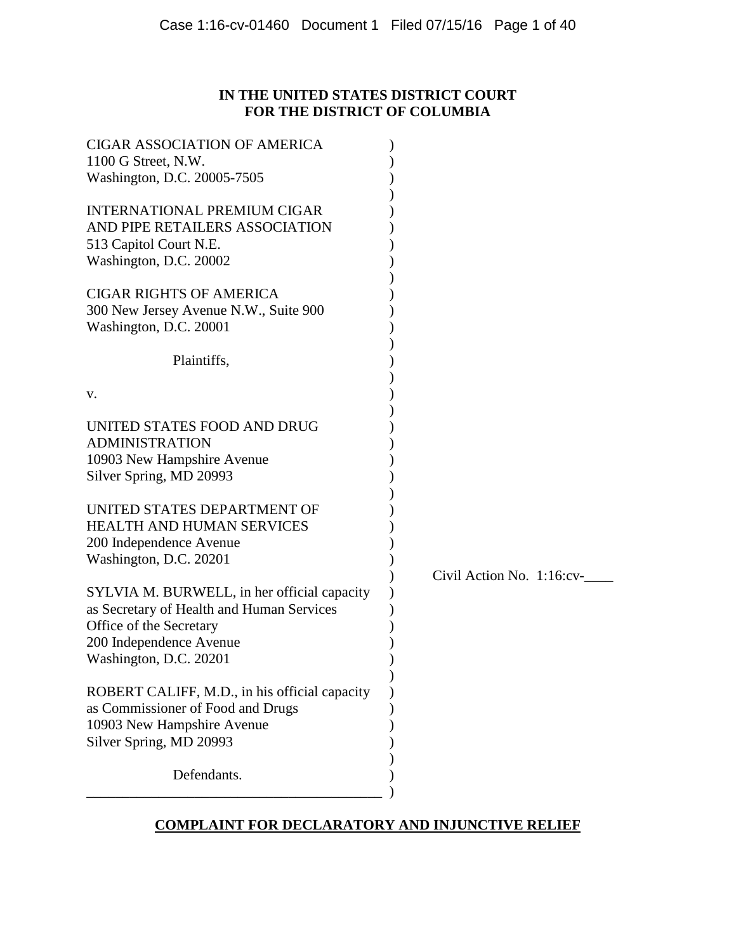# **IN THE UNITED STATES DISTRICT COURT FOR THE DISTRICT OF COLUMBIA**

| <b>CIGAR ASSOCIATION OF AMERICA</b><br>1100 G Street, N.W.<br>Washington, D.C. 20005-7505                                                                                |                                 |
|--------------------------------------------------------------------------------------------------------------------------------------------------------------------------|---------------------------------|
| <b>INTERNATIONAL PREMIUM CIGAR</b><br>AND PIPE RETAILERS ASSOCIATION<br>513 Capitol Court N.E.<br>Washington, D.C. 20002                                                 |                                 |
| <b>CIGAR RIGHTS OF AMERICA</b><br>300 New Jersey Avenue N.W., Suite 900<br>Washington, D.C. 20001                                                                        |                                 |
| Plaintiffs,                                                                                                                                                              |                                 |
| v.                                                                                                                                                                       |                                 |
| UNITED STATES FOOD AND DRUG<br><b>ADMINISTRATION</b><br>10903 New Hampshire Avenue<br>Silver Spring, MD 20993                                                            |                                 |
| UNITED STATES DEPARTMENT OF<br>HEALTH AND HUMAN SERVICES<br>200 Independence Avenue<br>Washington, D.C. 20201                                                            |                                 |
| SYLVIA M. BURWELL, in her official capacity<br>as Secretary of Health and Human Services<br>Office of the Secretary<br>200 Independence Avenue<br>Washington, D.C. 20201 | Civil Action No. $1:16$ : $cv-$ |
| ROBERT CALIFF, M.D., in his official capacity<br>as Commissioner of Food and Drugs<br>10903 New Hampshire Avenue<br>Silver Spring, MD 20993                              |                                 |
| Defendants.                                                                                                                                                              |                                 |

# **COMPLAINT FOR DECLARATORY AND INJUNCTIVE RELIEF**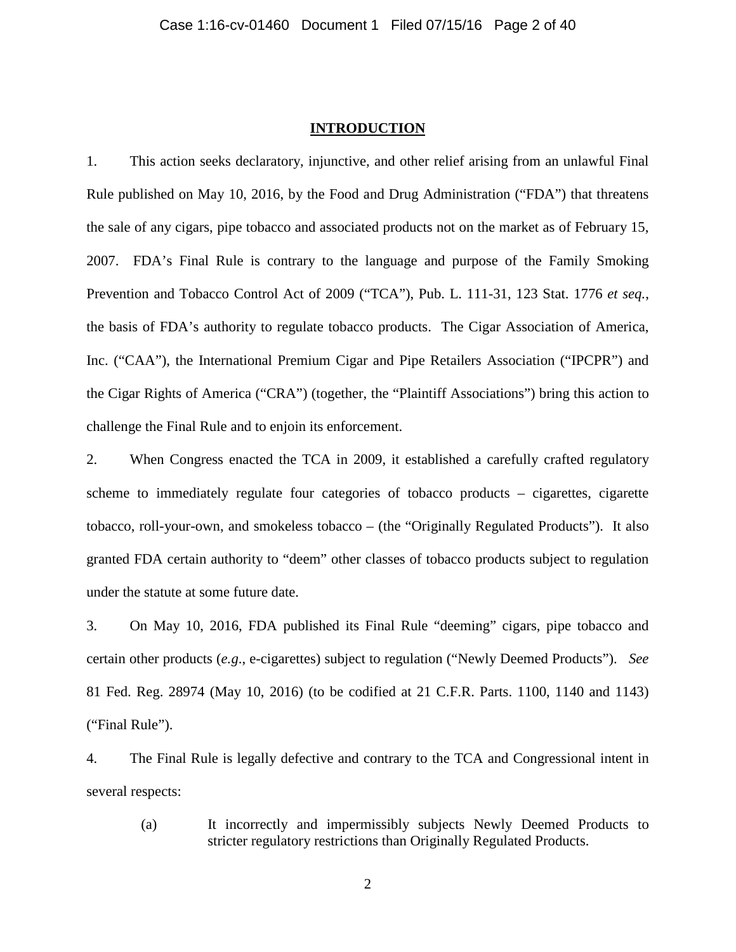### **INTRODUCTION**

1. This action seeks declaratory, injunctive, and other relief arising from an unlawful Final Rule published on May 10, 2016, by the Food and Drug Administration ("FDA") that threatens the sale of any cigars, pipe tobacco and associated products not on the market as of February 15, 2007. FDA's Final Rule is contrary to the language and purpose of the Family Smoking Prevention and Tobacco Control Act of 2009 ("TCA"), Pub. L. 111-31, 123 Stat. 1776 *et seq.*, the basis of FDA's authority to regulate tobacco products. The Cigar Association of America, Inc. ("CAA"), the International Premium Cigar and Pipe Retailers Association ("IPCPR") and the Cigar Rights of America ("CRA") (together, the "Plaintiff Associations") bring this action to challenge the Final Rule and to enjoin its enforcement.

2. When Congress enacted the TCA in 2009, it established a carefully crafted regulatory scheme to immediately regulate four categories of tobacco products – cigarettes, cigarette tobacco, roll-your-own, and smokeless tobacco – (the "Originally Regulated Products"). It also granted FDA certain authority to "deem" other classes of tobacco products subject to regulation under the statute at some future date.

3. On May 10, 2016, FDA published its Final Rule "deeming" cigars, pipe tobacco and certain other products (*e.g*., e-cigarettes) subject to regulation ("Newly Deemed Products"). *See* 81 Fed. Reg. 28974 (May 10, 2016) (to be codified at 21 C.F.R. Parts. 1100, 1140 and 1143) ("Final Rule").

4. The Final Rule is legally defective and contrary to the TCA and Congressional intent in several respects:

(a) It incorrectly and impermissibly subjects Newly Deemed Products to stricter regulatory restrictions than Originally Regulated Products.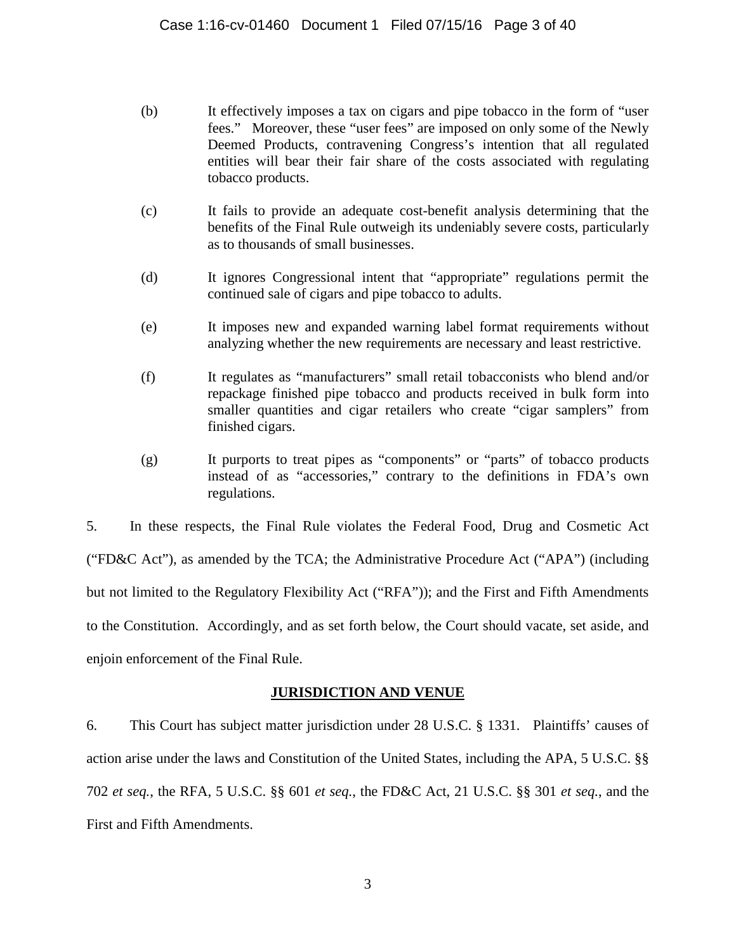- (b) It effectively imposes a tax on cigars and pipe tobacco in the form of "user fees." Moreover, these "user fees" are imposed on only some of the Newly Deemed Products, contravening Congress's intention that all regulated entities will bear their fair share of the costs associated with regulating tobacco products.
- (c) It fails to provide an adequate cost-benefit analysis determining that the benefits of the Final Rule outweigh its undeniably severe costs, particularly as to thousands of small businesses.
- (d) It ignores Congressional intent that "appropriate" regulations permit the continued sale of cigars and pipe tobacco to adults.
- (e) It imposes new and expanded warning label format requirements without analyzing whether the new requirements are necessary and least restrictive.
- (f) It regulates as "manufacturers" small retail tobacconists who blend and/or repackage finished pipe tobacco and products received in bulk form into smaller quantities and cigar retailers who create "cigar samplers" from finished cigars.
- (g) It purports to treat pipes as "components" or "parts" of tobacco products instead of as "accessories," contrary to the definitions in FDA's own regulations.

5. In these respects, the Final Rule violates the Federal Food, Drug and Cosmetic Act ("FD&C Act"), as amended by the TCA; the Administrative Procedure Act ("APA") (including but not limited to the Regulatory Flexibility Act ("RFA")); and the First and Fifth Amendments to the Constitution. Accordingly, and as set forth below, the Court should vacate, set aside, and enjoin enforcement of the Final Rule.

# **JURISDICTION AND VENUE**

6. This Court has subject matter jurisdiction under 28 U.S.C. § 1331. Plaintiffs' causes of action arise under the laws and Constitution of the United States, including the APA, 5 U.S.C. §§ 702 *et seq.*, the RFA, 5 U.S.C. §§ 601 *et seq.*, the FD&C Act, 21 U.S.C. §§ 301 *et seq.*, and the First and Fifth Amendments.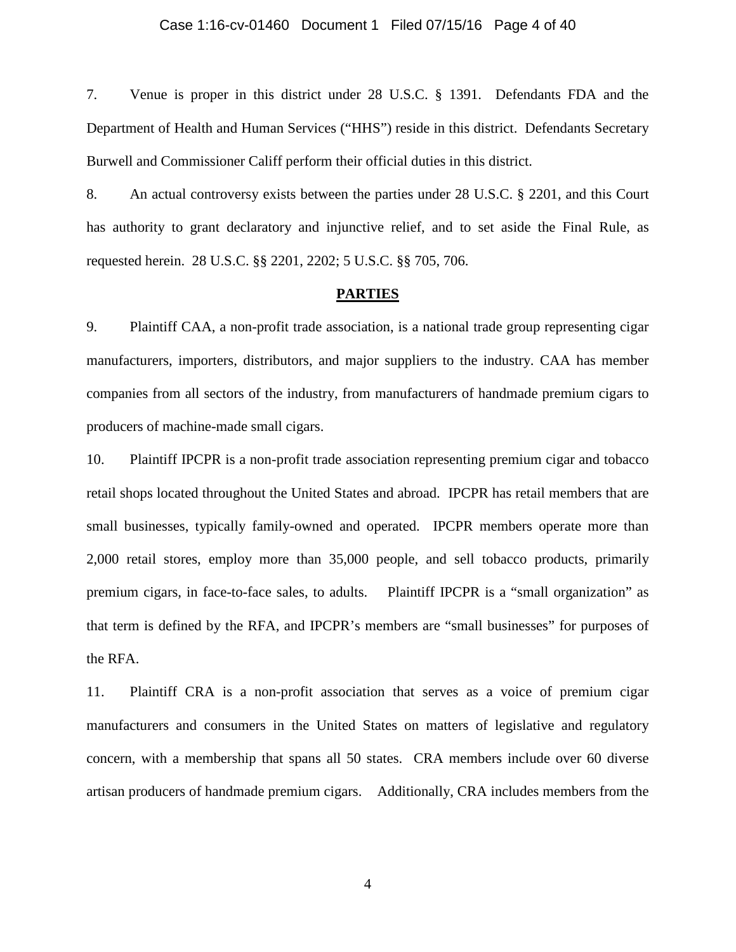### Case 1:16-cv-01460 Document 1 Filed 07/15/16 Page 4 of 40

7. Venue is proper in this district under 28 U.S.C. § 1391. Defendants FDA and the Department of Health and Human Services ("HHS") reside in this district. Defendants Secretary Burwell and Commissioner Califf perform their official duties in this district.

8. An actual controversy exists between the parties under 28 U.S.C. § 2201, and this Court has authority to grant declaratory and injunctive relief, and to set aside the Final Rule, as requested herein. 28 U.S.C. §§ 2201, 2202; 5 U.S.C. §§ 705, 706.

#### **PARTIES**

9. Plaintiff CAA, a non-profit trade association, is a national trade group representing cigar manufacturers, importers, distributors, and major suppliers to the industry. CAA has member companies from all sectors of the industry, from manufacturers of handmade premium cigars to producers of machine-made small cigars.

10. Plaintiff IPCPR is a non-profit trade association representing premium cigar and tobacco retail shops located throughout the United States and abroad. IPCPR has retail members that are small businesses, typically family-owned and operated. IPCPR members operate more than 2,000 retail stores, employ more than 35,000 people, and sell tobacco products, primarily premium cigars, in face-to-face sales, to adults. Plaintiff IPCPR is a "small organization" as that term is defined by the RFA, and IPCPR's members are "small businesses" for purposes of the RFA.

11. Plaintiff CRA is a non-profit association that serves as a voice of premium cigar manufacturers and consumers in the United States on matters of legislative and regulatory concern, with a membership that spans all 50 states. CRA members include over 60 diverse artisan producers of handmade premium cigars. Additionally, CRA includes members from the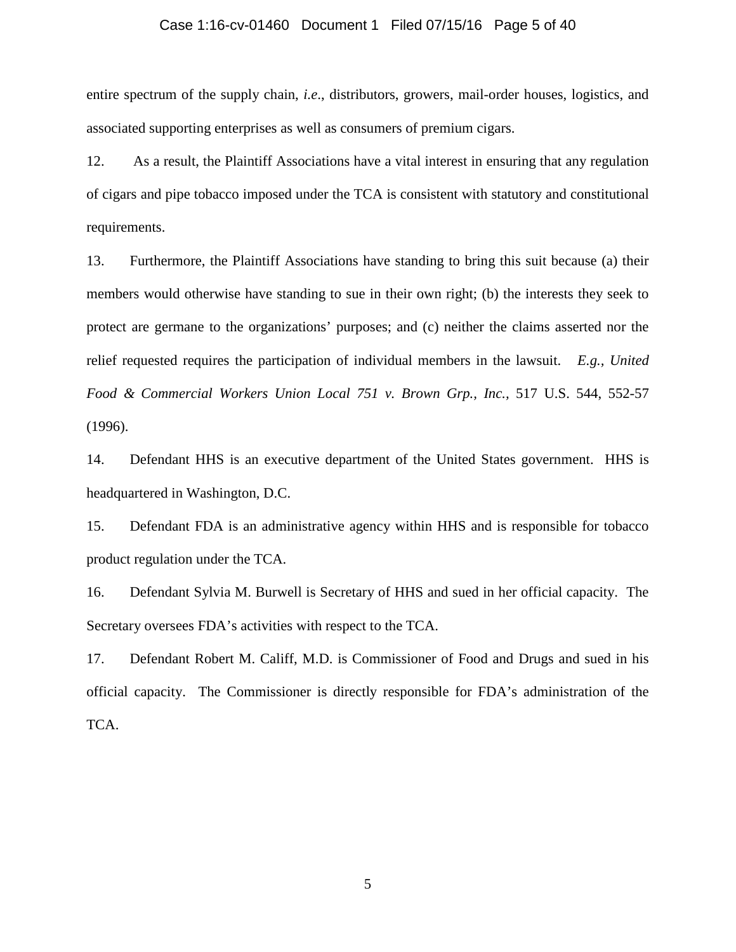### Case 1:16-cv-01460 Document 1 Filed 07/15/16 Page 5 of 40

entire spectrum of the supply chain, *i.e*., distributors, growers, mail-order houses, logistics, and associated supporting enterprises as well as consumers of premium cigars.

12. As a result, the Plaintiff Associations have a vital interest in ensuring that any regulation of cigars and pipe tobacco imposed under the TCA is consistent with statutory and constitutional requirements.

13. Furthermore, the Plaintiff Associations have standing to bring this suit because (a) their members would otherwise have standing to sue in their own right; (b) the interests they seek to protect are germane to the organizations' purposes; and (c) neither the claims asserted nor the relief requested requires the participation of individual members in the lawsuit. *E.g., United Food & Commercial Workers Union Local 751 v. Brown Grp., Inc.,* 517 U.S. 544, 552-57 (1996).

14. Defendant HHS is an executive department of the United States government. HHS is headquartered in Washington, D.C.

15. Defendant FDA is an administrative agency within HHS and is responsible for tobacco product regulation under the TCA.

16. Defendant Sylvia M. Burwell is Secretary of HHS and sued in her official capacity. The Secretary oversees FDA's activities with respect to the TCA.

17. Defendant Robert M. Califf, M.D. is Commissioner of Food and Drugs and sued in his official capacity. The Commissioner is directly responsible for FDA's administration of the TCA.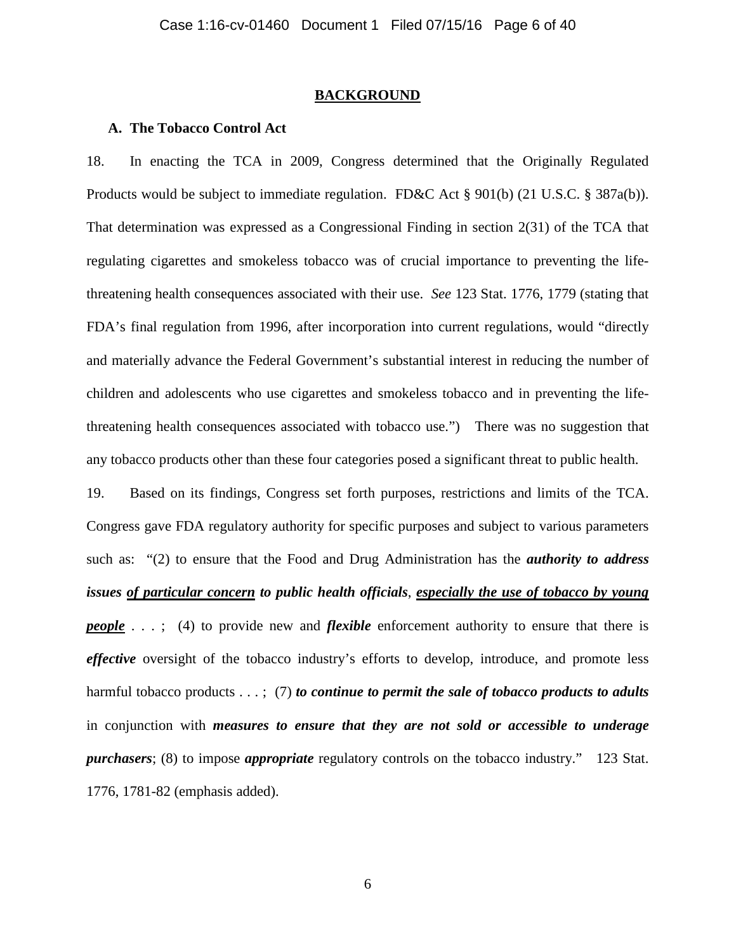#### **BACKGROUND**

### **A. The Tobacco Control Act**

18. In enacting the TCA in 2009, Congress determined that the Originally Regulated Products would be subject to immediate regulation. FD&C Act § 901(b) (21 U.S.C. § 387a(b)). That determination was expressed as a Congressional Finding in section 2(31) of the TCA that regulating cigarettes and smokeless tobacco was of crucial importance to preventing the lifethreatening health consequences associated with their use. *See* 123 Stat. 1776, 1779 (stating that FDA's final regulation from 1996, after incorporation into current regulations, would "directly and materially advance the Federal Government's substantial interest in reducing the number of children and adolescents who use cigarettes and smokeless tobacco and in preventing the lifethreatening health consequences associated with tobacco use.") There was no suggestion that any tobacco products other than these four categories posed a significant threat to public health.

19. Based on its findings, Congress set forth purposes, restrictions and limits of the TCA. Congress gave FDA regulatory authority for specific purposes and subject to various parameters such as: "(2) to ensure that the Food and Drug Administration has the *authority to address issues of particular concern to public health officials*, *especially the use of tobacco by young people* . . .; (4) to provide new and *flexible* enforcement authority to ensure that there is *effective* oversight of the tobacco industry's efforts to develop, introduce, and promote less harmful tobacco products . . . ; (7) *to continue to permit the sale of tobacco products to adults* in conjunction with *measures to ensure that they are not sold or accessible to underage purchasers*; (8) to impose *appropriate* regulatory controls on the tobacco industry." 123 Stat. 1776, 1781-82 (emphasis added).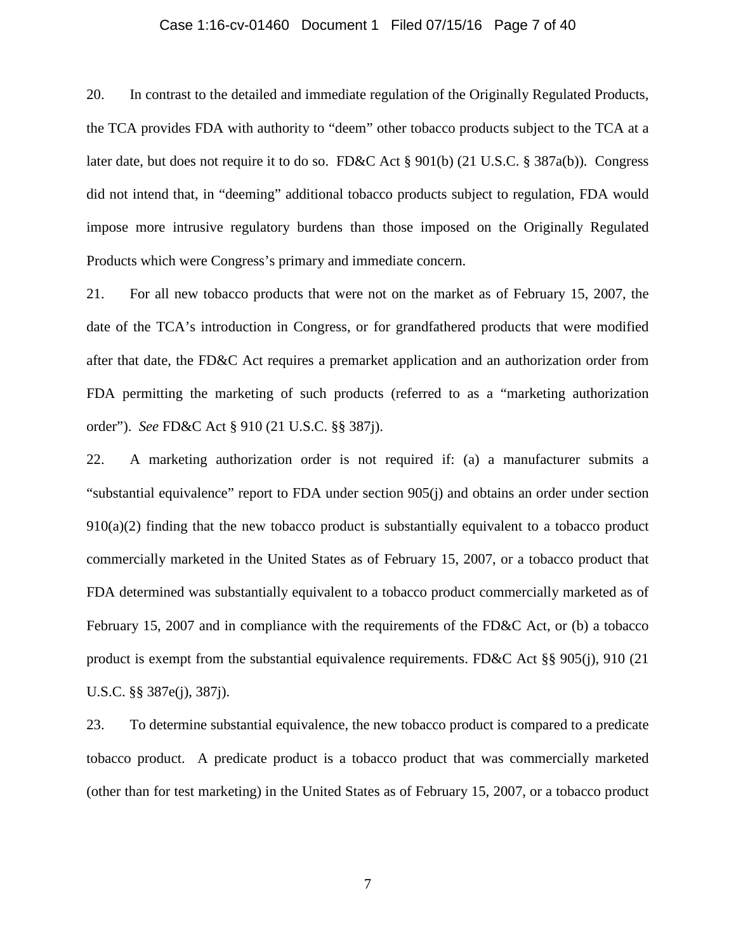### Case 1:16-cv-01460 Document 1 Filed 07/15/16 Page 7 of 40

20. In contrast to the detailed and immediate regulation of the Originally Regulated Products, the TCA provides FDA with authority to "deem" other tobacco products subject to the TCA at a later date, but does not require it to do so. FD&C Act § 901(b) (21 U.S.C. § 387a(b)). Congress did not intend that, in "deeming" additional tobacco products subject to regulation, FDA would impose more intrusive regulatory burdens than those imposed on the Originally Regulated Products which were Congress's primary and immediate concern.

21. For all new tobacco products that were not on the market as of February 15, 2007, the date of the TCA's introduction in Congress, or for grandfathered products that were modified after that date, the FD&C Act requires a premarket application and an authorization order from FDA permitting the marketing of such products (referred to as a "marketing authorization order"). *See* FD&C Act § 910 (21 U.S.C. §§ 387j).

22. A marketing authorization order is not required if: (a) a manufacturer submits a "substantial equivalence" report to FDA under section 905(j) and obtains an order under section  $910(a)(2)$  finding that the new tobacco product is substantially equivalent to a tobacco product commercially marketed in the United States as of February 15, 2007, or a tobacco product that FDA determined was substantially equivalent to a tobacco product commercially marketed as of February 15, 2007 and in compliance with the requirements of the FD&C Act, or (b) a tobacco product is exempt from the substantial equivalence requirements. FD&C Act §§ 905(j), 910 (21 U.S.C. §§ 387e(j), 387j).

23. To determine substantial equivalence, the new tobacco product is compared to a predicate tobacco product. A predicate product is a tobacco product that was commercially marketed (other than for test marketing) in the United States as of February 15, 2007, or a tobacco product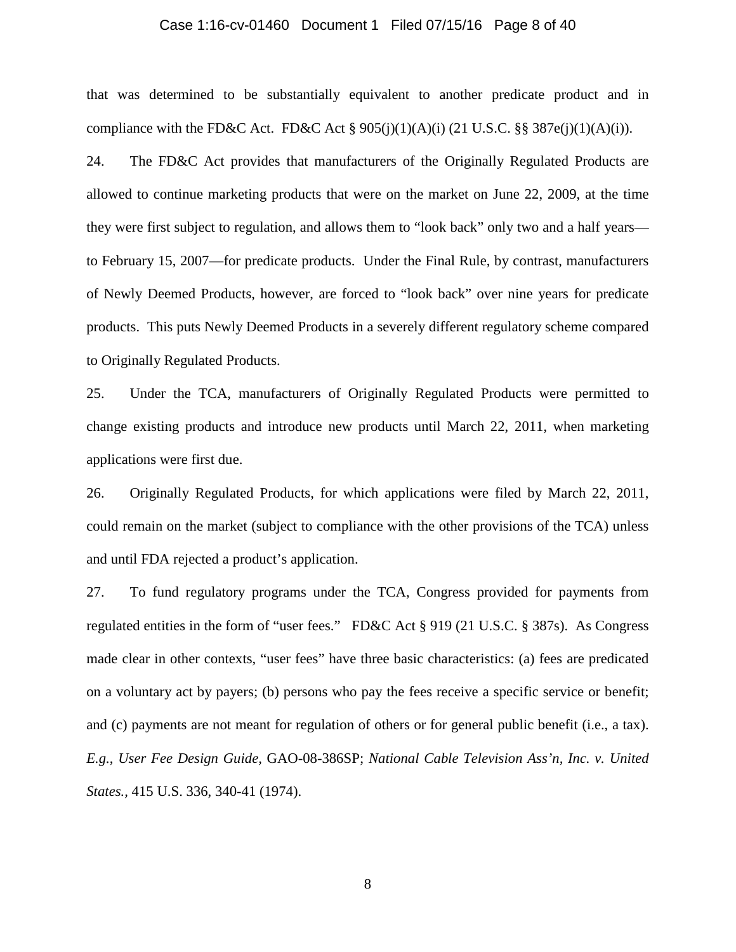### Case 1:16-cv-01460 Document 1 Filed 07/15/16 Page 8 of 40

that was determined to be substantially equivalent to another predicate product and in compliance with the FD&C Act. FD&C Act §  $905(j)(1)(A)(i)$  (21 U.S.C. §§ 387e(j)(1)(A)(i)).

24. The FD&C Act provides that manufacturers of the Originally Regulated Products are allowed to continue marketing products that were on the market on June 22, 2009, at the time they were first subject to regulation, and allows them to "look back" only two and a half years to February 15, 2007—for predicate products. Under the Final Rule, by contrast, manufacturers of Newly Deemed Products, however, are forced to "look back" over nine years for predicate products. This puts Newly Deemed Products in a severely different regulatory scheme compared to Originally Regulated Products.

25. Under the TCA, manufacturers of Originally Regulated Products were permitted to change existing products and introduce new products until March 22, 2011, when marketing applications were first due.

26. Originally Regulated Products, for which applications were filed by March 22, 2011, could remain on the market (subject to compliance with the other provisions of the TCA) unless and until FDA rejected a product's application.

27. To fund regulatory programs under the TCA, Congress provided for payments from regulated entities in the form of "user fees." FD&C Act § 919 (21 U.S.C. § 387s). As Congress made clear in other contexts, "user fees" have three basic characteristics: (a) fees are predicated on a voluntary act by payers; (b) persons who pay the fees receive a specific service or benefit; and (c) payments are not meant for regulation of others or for general public benefit (i.e., a tax). *E.g.*, *User Fee Design Guide,* GAO-08-386SP; *National Cable Television Ass'n, Inc. v. United States.,* 415 U.S. 336, 340-41 (1974).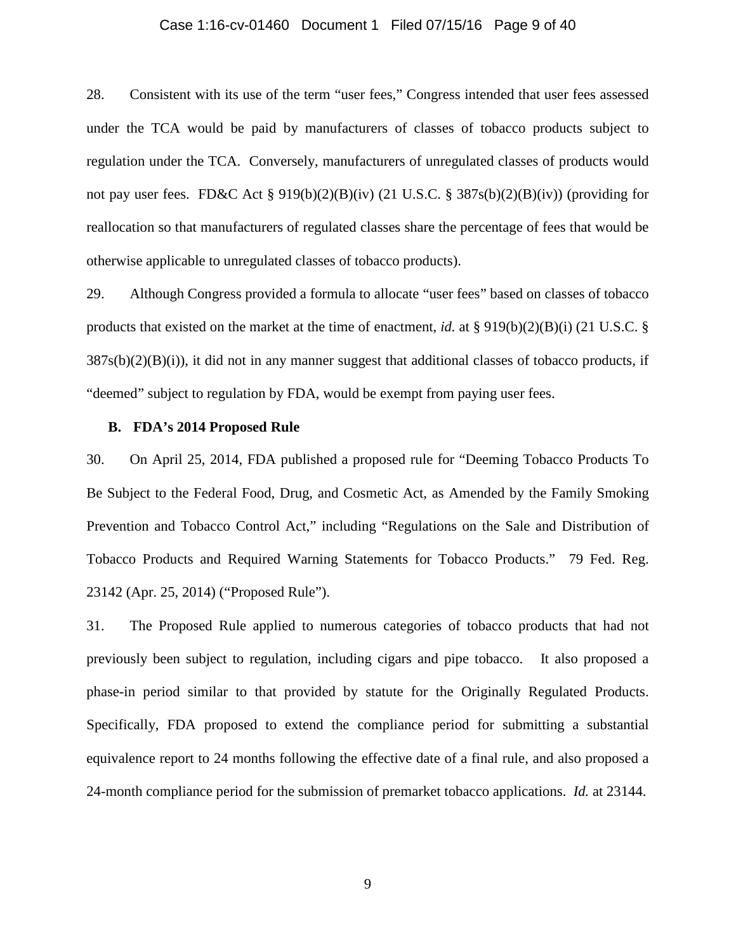### Case 1:16-cv-01460 Document 1 Filed 07/15/16 Page 9 of 40

28. Consistent with its use of the term "user fees," Congress intended that user fees assessed under the TCA would be paid by manufacturers of classes of tobacco products subject to regulation under the TCA. Conversely, manufacturers of unregulated classes of products would not pay user fees. FD&C Act § 919(b)(2)(B)(iv) (21 U.S.C. § 387s(b)(2)(B)(iv)) (providing for reallocation so that manufacturers of regulated classes share the percentage of fees that would be otherwise applicable to unregulated classes of tobacco products).

29. Although Congress provided a formula to allocate "user fees" based on classes of tobacco products that existed on the market at the time of enactment, *id.* at § 919(b)(2)(B)(i) (21 U.S.C. §  $387s(b)(2)(B)(i)$ , it did not in any manner suggest that additional classes of tobacco products, if "deemed" subject to regulation by FDA, would be exempt from paying user fees.

#### **B. FDA's 2014 Proposed Rule**

30. On April 25, 2014, FDA published a proposed rule for "Deeming Tobacco Products To Be Subject to the Federal Food, Drug, and Cosmetic Act, as Amended by the Family Smoking Prevention and Tobacco Control Act," including "Regulations on the Sale and Distribution of Tobacco Products and Required Warning Statements for Tobacco Products." 79 Fed. Reg. 23142 (Apr. 25, 2014) ("Proposed Rule").

31. The Proposed Rule applied to numerous categories of tobacco products that had not previously been subject to regulation, including cigars and pipe tobacco. It also proposed a phase-in period similar to that provided by statute for the Originally Regulated Products. Specifically, FDA proposed to extend the compliance period for submitting a substantial equivalence report to 24 months following the effective date of a final rule, and also proposed a 24-month compliance period for the submission of premarket tobacco applications. *Id.* at 23144.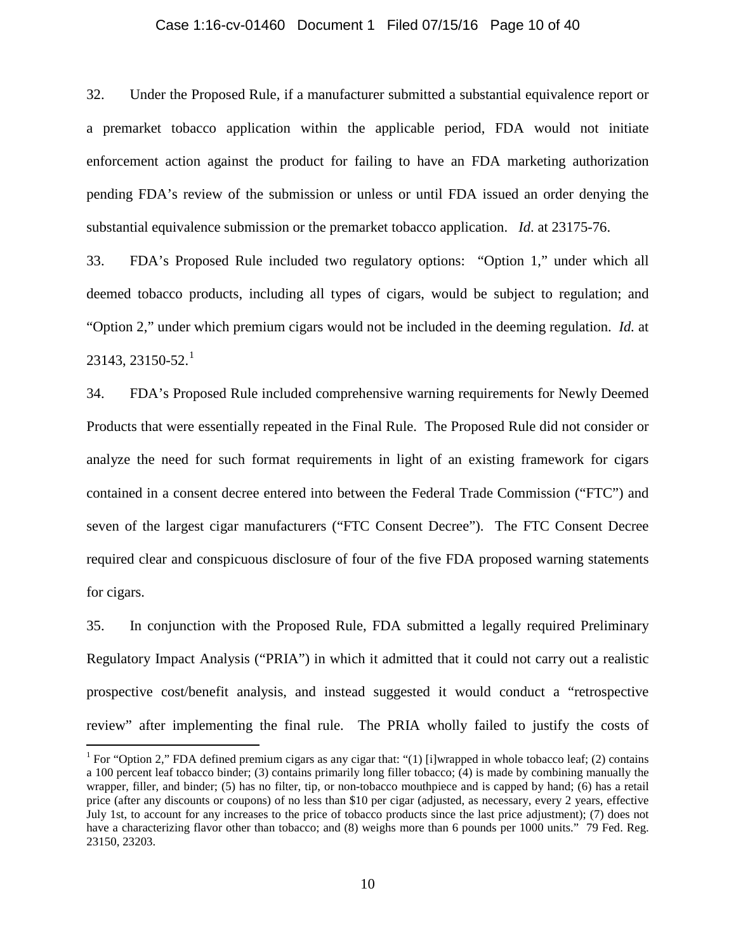#### Case 1:16-cv-01460 Document 1 Filed 07/15/16 Page 10 of 40

32. Under the Proposed Rule, if a manufacturer submitted a substantial equivalence report or a premarket tobacco application within the applicable period, FDA would not initiate enforcement action against the product for failing to have an FDA marketing authorization pending FDA's review of the submission or unless or until FDA issued an order denying the substantial equivalence submission or the premarket tobacco application. *Id*. at 23175-76.

33. FDA's Proposed Rule included two regulatory options: "Option 1," under which all deemed tobacco products, including all types of cigars, would be subject to regulation; and "Option 2," under which premium cigars would not be included in the deeming regulation. *Id.* at  $23143, 23150 - 52.<sup>1</sup>$  $23143, 23150 - 52.<sup>1</sup>$  $23143, 23150 - 52.<sup>1</sup>$ 

34. FDA's Proposed Rule included comprehensive warning requirements for Newly Deemed Products that were essentially repeated in the Final Rule. The Proposed Rule did not consider or analyze the need for such format requirements in light of an existing framework for cigars contained in a consent decree entered into between the Federal Trade Commission ("FTC") and seven of the largest cigar manufacturers ("FTC Consent Decree"). The FTC Consent Decree required clear and conspicuous disclosure of four of the five FDA proposed warning statements for cigars.

35. In conjunction with the Proposed Rule, FDA submitted a legally required Preliminary Regulatory Impact Analysis ("PRIA") in which it admitted that it could not carry out a realistic prospective cost/benefit analysis, and instead suggested it would conduct a "retrospective review" after implementing the final rule. The PRIA wholly failed to justify the costs of

<span id="page-9-0"></span><sup>&</sup>lt;sup>1</sup> For "Option 2," FDA defined premium cigars as any cigar that: "(1) [i]wrapped in whole tobacco leaf; (2) contains a 100 percent leaf tobacco binder; (3) contains primarily long filler tobacco; (4) is made by combining manually the wrapper, filler, and binder; (5) has no filter, tip, or non-tobacco mouthpiece and is capped by hand; (6) has a retail price (after any discounts or coupons) of no less than \$10 per cigar (adjusted, as necessary, every 2 years, effective July 1st, to account for any increases to the price of tobacco products since the last price adjustment); (7) does not have a characterizing flavor other than tobacco; and (8) weighs more than 6 pounds per 1000 units." 79 Fed. Reg. 23150, 23203.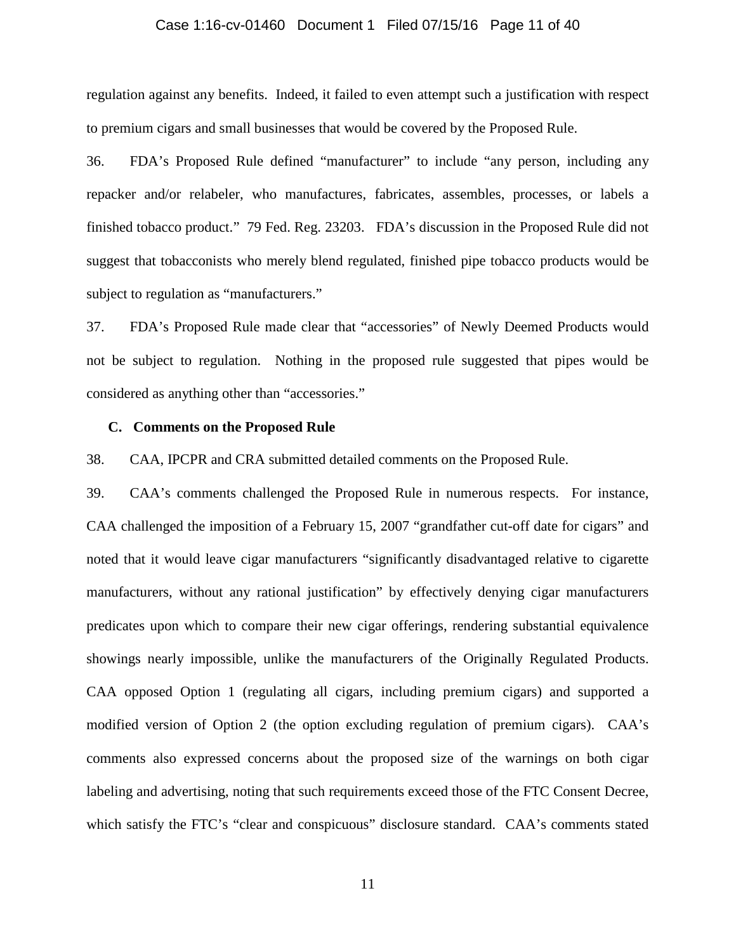### Case 1:16-cv-01460 Document 1 Filed 07/15/16 Page 11 of 40

regulation against any benefits. Indeed, it failed to even attempt such a justification with respect to premium cigars and small businesses that would be covered by the Proposed Rule.

36. FDA's Proposed Rule defined "manufacturer" to include "any person, including any repacker and/or relabeler, who manufactures, fabricates, assembles, processes, or labels a finished tobacco product." 79 Fed. Reg. 23203. FDA's discussion in the Proposed Rule did not suggest that tobacconists who merely blend regulated, finished pipe tobacco products would be subject to regulation as "manufacturers."

37. FDA's Proposed Rule made clear that "accessories" of Newly Deemed Products would not be subject to regulation. Nothing in the proposed rule suggested that pipes would be considered as anything other than "accessories."

#### **C. Comments on the Proposed Rule**

38. CAA, IPCPR and CRA submitted detailed comments on the Proposed Rule.

39. CAA's comments challenged the Proposed Rule in numerous respects. For instance, CAA challenged the imposition of a February 15, 2007 "grandfather cut-off date for cigars" and noted that it would leave cigar manufacturers "significantly disadvantaged relative to cigarette manufacturers, without any rational justification" by effectively denying cigar manufacturers predicates upon which to compare their new cigar offerings, rendering substantial equivalence showings nearly impossible, unlike the manufacturers of the Originally Regulated Products. CAA opposed Option 1 (regulating all cigars, including premium cigars) and supported a modified version of Option 2 (the option excluding regulation of premium cigars). CAA's comments also expressed concerns about the proposed size of the warnings on both cigar labeling and advertising, noting that such requirements exceed those of the FTC Consent Decree, which satisfy the FTC's "clear and conspicuous" disclosure standard. CAA's comments stated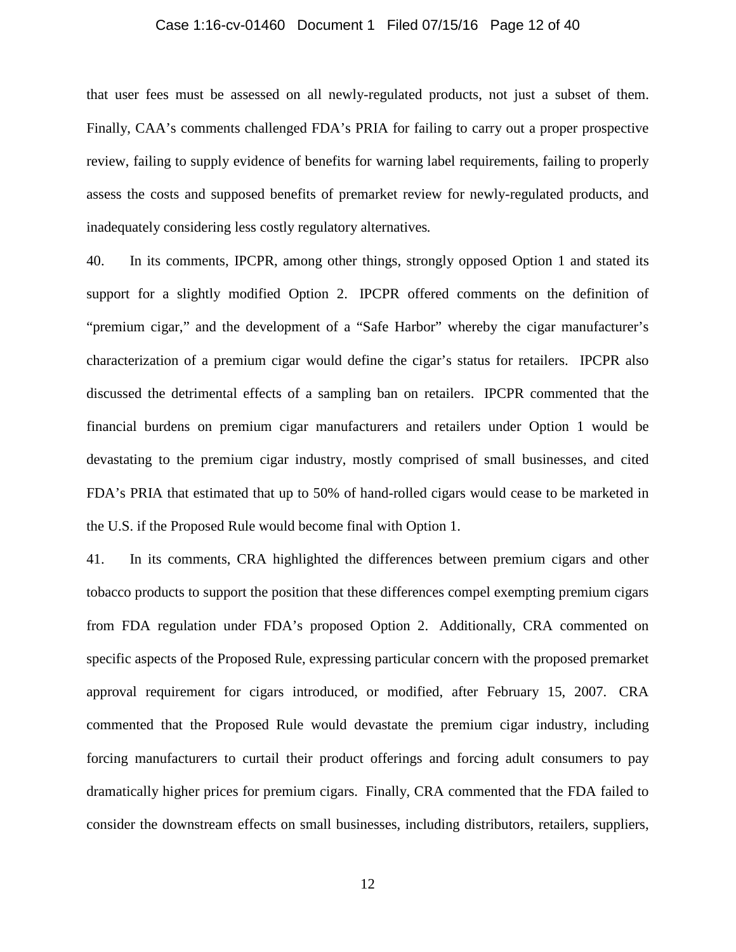### Case 1:16-cv-01460 Document 1 Filed 07/15/16 Page 12 of 40

that user fees must be assessed on all newly-regulated products, not just a subset of them. Finally, CAA's comments challenged FDA's PRIA for failing to carry out a proper prospective review, failing to supply evidence of benefits for warning label requirements, failing to properly assess the costs and supposed benefits of premarket review for newly-regulated products, and inadequately considering less costly regulatory alternatives*.*

40. In its comments, IPCPR, among other things, strongly opposed Option 1 and stated its support for a slightly modified Option 2. IPCPR offered comments on the definition of "premium cigar," and the development of a "Safe Harbor" whereby the cigar manufacturer's characterization of a premium cigar would define the cigar's status for retailers. IPCPR also discussed the detrimental effects of a sampling ban on retailers. IPCPR commented that the financial burdens on premium cigar manufacturers and retailers under Option 1 would be devastating to the premium cigar industry, mostly comprised of small businesses, and cited FDA's PRIA that estimated that up to 50% of hand-rolled cigars would cease to be marketed in the U.S. if the Proposed Rule would become final with Option 1.

41. In its comments, CRA highlighted the differences between premium cigars and other tobacco products to support the position that these differences compel exempting premium cigars from FDA regulation under FDA's proposed Option 2. Additionally, CRA commented on specific aspects of the Proposed Rule, expressing particular concern with the proposed premarket approval requirement for cigars introduced, or modified, after February 15, 2007. CRA commented that the Proposed Rule would devastate the premium cigar industry, including forcing manufacturers to curtail their product offerings and forcing adult consumers to pay dramatically higher prices for premium cigars. Finally, CRA commented that the FDA failed to consider the downstream effects on small businesses, including distributors, retailers, suppliers,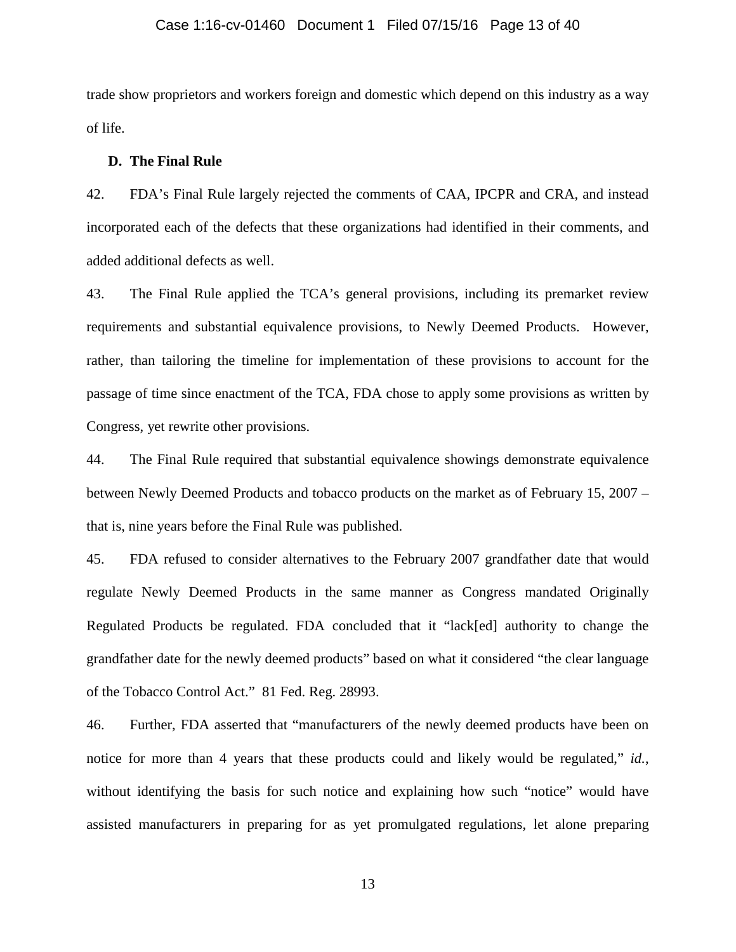### Case 1:16-cv-01460 Document 1 Filed 07/15/16 Page 13 of 40

trade show proprietors and workers foreign and domestic which depend on this industry as a way of life.

### **D. The Final Rule**

42. FDA's Final Rule largely rejected the comments of CAA, IPCPR and CRA, and instead incorporated each of the defects that these organizations had identified in their comments, and added additional defects as well.

43. The Final Rule applied the TCA's general provisions, including its premarket review requirements and substantial equivalence provisions, to Newly Deemed Products. However, rather, than tailoring the timeline for implementation of these provisions to account for the passage of time since enactment of the TCA, FDA chose to apply some provisions as written by Congress, yet rewrite other provisions.

44. The Final Rule required that substantial equivalence showings demonstrate equivalence between Newly Deemed Products and tobacco products on the market as of February 15, 2007 – that is, nine years before the Final Rule was published.

45. FDA refused to consider alternatives to the February 2007 grandfather date that would regulate Newly Deemed Products in the same manner as Congress mandated Originally Regulated Products be regulated. FDA concluded that it "lack[ed] authority to change the grandfather date for the newly deemed products" based on what it considered "the clear language of the Tobacco Control Act." 81 Fed. Reg. 28993.

46. Further, FDA asserted that "manufacturers of the newly deemed products have been on notice for more than 4 years that these products could and likely would be regulated," *id.*, without identifying the basis for such notice and explaining how such "notice" would have assisted manufacturers in preparing for as yet promulgated regulations, let alone preparing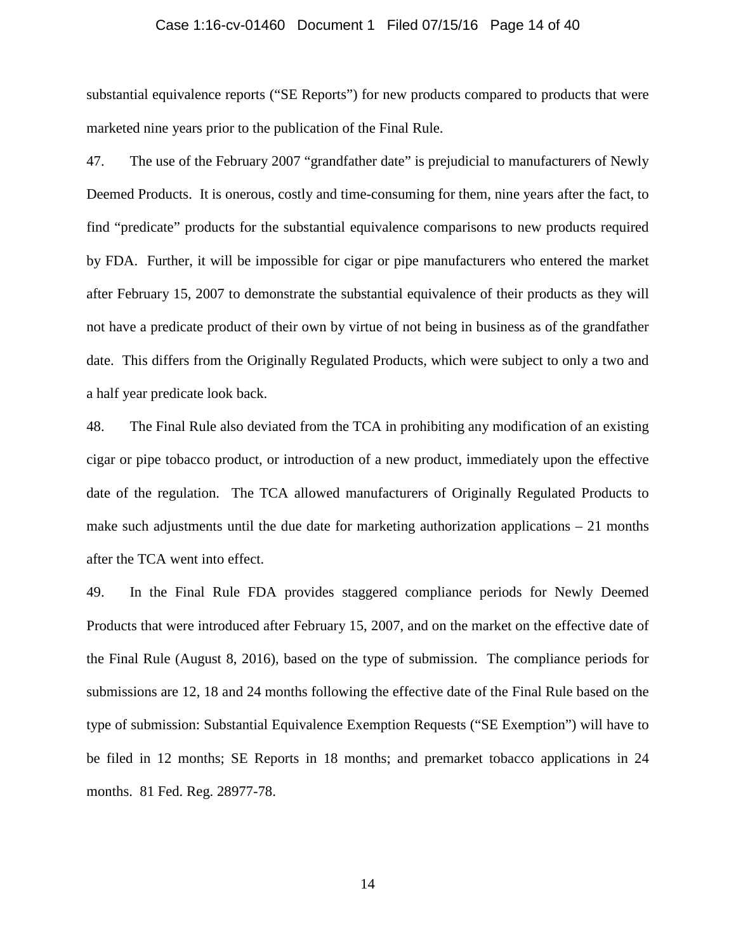### Case 1:16-cv-01460 Document 1 Filed 07/15/16 Page 14 of 40

substantial equivalence reports ("SE Reports") for new products compared to products that were marketed nine years prior to the publication of the Final Rule.

47. The use of the February 2007 "grandfather date" is prejudicial to manufacturers of Newly Deemed Products. It is onerous, costly and time-consuming for them, nine years after the fact, to find "predicate" products for the substantial equivalence comparisons to new products required by FDA. Further, it will be impossible for cigar or pipe manufacturers who entered the market after February 15, 2007 to demonstrate the substantial equivalence of their products as they will not have a predicate product of their own by virtue of not being in business as of the grandfather date. This differs from the Originally Regulated Products, which were subject to only a two and a half year predicate look back.

48. The Final Rule also deviated from the TCA in prohibiting any modification of an existing cigar or pipe tobacco product, or introduction of a new product, immediately upon the effective date of the regulation. The TCA allowed manufacturers of Originally Regulated Products to make such adjustments until the due date for marketing authorization applications  $-21$  months after the TCA went into effect.

49. In the Final Rule FDA provides staggered compliance periods for Newly Deemed Products that were introduced after February 15, 2007, and on the market on the effective date of the Final Rule (August 8, 2016), based on the type of submission. The compliance periods for submissions are 12, 18 and 24 months following the effective date of the Final Rule based on the type of submission: Substantial Equivalence Exemption Requests ("SE Exemption") will have to be filed in 12 months; SE Reports in 18 months; and premarket tobacco applications in 24 months. 81 Fed. Reg. 28977-78.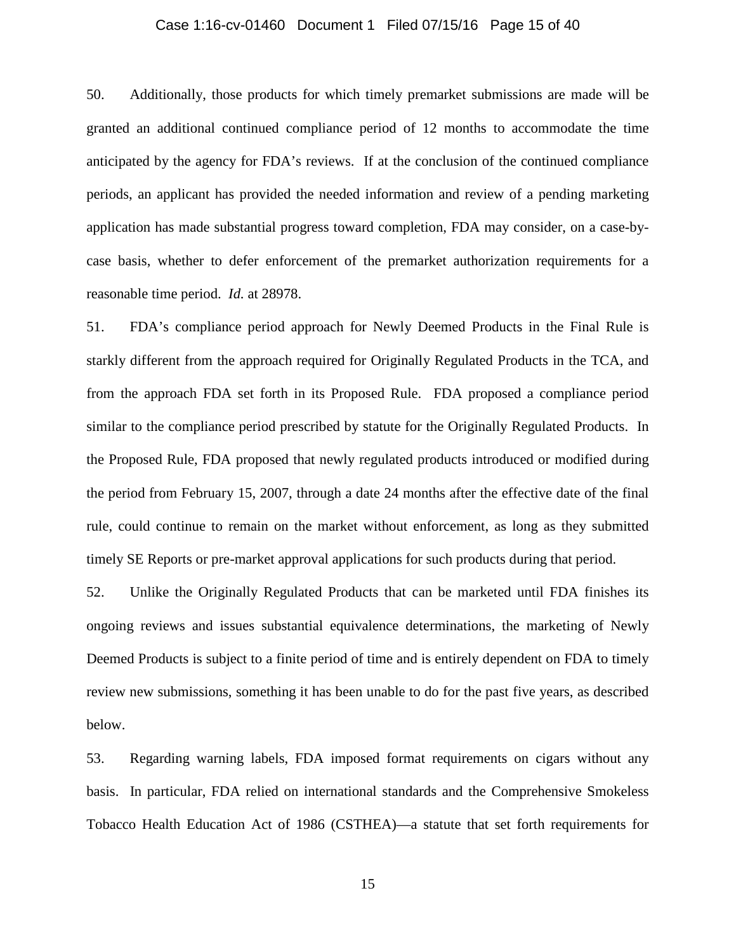### Case 1:16-cv-01460 Document 1 Filed 07/15/16 Page 15 of 40

50. Additionally, those products for which timely premarket submissions are made will be granted an additional continued compliance period of 12 months to accommodate the time anticipated by the agency for FDA's reviews. If at the conclusion of the continued compliance periods, an applicant has provided the needed information and review of a pending marketing application has made substantial progress toward completion, FDA may consider, on a case-bycase basis, whether to defer enforcement of the premarket authorization requirements for a reasonable time period. *Id.* at 28978.

51. FDA's compliance period approach for Newly Deemed Products in the Final Rule is starkly different from the approach required for Originally Regulated Products in the TCA, and from the approach FDA set forth in its Proposed Rule. FDA proposed a compliance period similar to the compliance period prescribed by statute for the Originally Regulated Products. In the Proposed Rule, FDA proposed that newly regulated products introduced or modified during the period from February 15, 2007, through a date 24 months after the effective date of the final rule, could continue to remain on the market without enforcement, as long as they submitted timely SE Reports or pre-market approval applications for such products during that period.

52. Unlike the Originally Regulated Products that can be marketed until FDA finishes its ongoing reviews and issues substantial equivalence determinations, the marketing of Newly Deemed Products is subject to a finite period of time and is entirely dependent on FDA to timely review new submissions, something it has been unable to do for the past five years, as described below.

53. Regarding warning labels, FDA imposed format requirements on cigars without any basis. In particular, FDA relied on international standards and the Comprehensive Smokeless Tobacco Health Education Act of 1986 (CSTHEA)—a statute that set forth requirements for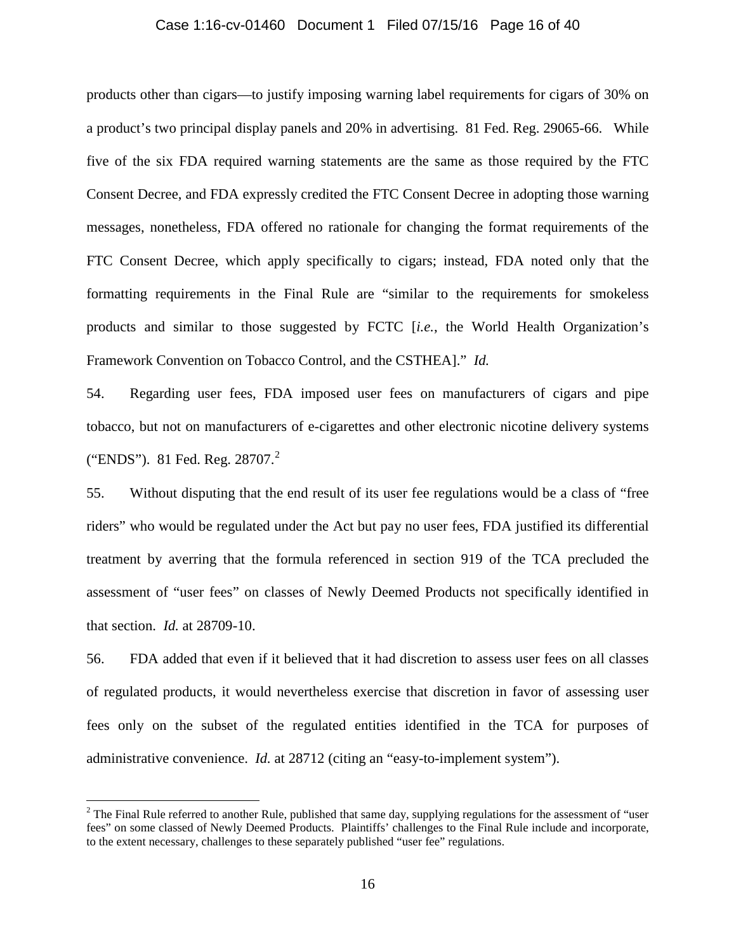### Case 1:16-cv-01460 Document 1 Filed 07/15/16 Page 16 of 40

products other than cigars—to justify imposing warning label requirements for cigars of 30% on a product's two principal display panels and 20% in advertising. 81 Fed. Reg. 29065-66. While five of the six FDA required warning statements are the same as those required by the FTC Consent Decree, and FDA expressly credited the FTC Consent Decree in adopting those warning messages, nonetheless, FDA offered no rationale for changing the format requirements of the FTC Consent Decree, which apply specifically to cigars; instead, FDA noted only that the formatting requirements in the Final Rule are "similar to the requirements for smokeless products and similar to those suggested by FCTC [*i.e.*, the World Health Organization's Framework Convention on Tobacco Control, and the CSTHEA]." *Id.*

54. Regarding user fees, FDA imposed user fees on manufacturers of cigars and pipe tobacco, but not on manufacturers of e-cigarettes and other electronic nicotine delivery systems ("ENDS"). 81 Fed. Reg. [2](#page-15-0)8707.<sup>2</sup>

55. Without disputing that the end result of its user fee regulations would be a class of "free riders" who would be regulated under the Act but pay no user fees, FDA justified its differential treatment by averring that the formula referenced in section 919 of the TCA precluded the assessment of "user fees" on classes of Newly Deemed Products not specifically identified in that section. *Id.* at 28709-10.

56. FDA added that even if it believed that it had discretion to assess user fees on all classes of regulated products, it would nevertheless exercise that discretion in favor of assessing user fees only on the subset of the regulated entities identified in the TCA for purposes of administrative convenience. *Id.* at 28712 (citing an "easy-to-implement system").

<span id="page-15-0"></span> $2$  The Final Rule referred to another Rule, published that same day, supplying regulations for the assessment of "user" fees" on some classed of Newly Deemed Products. Plaintiffs' challenges to the Final Rule include and incorporate, to the extent necessary, challenges to these separately published "user fee" regulations.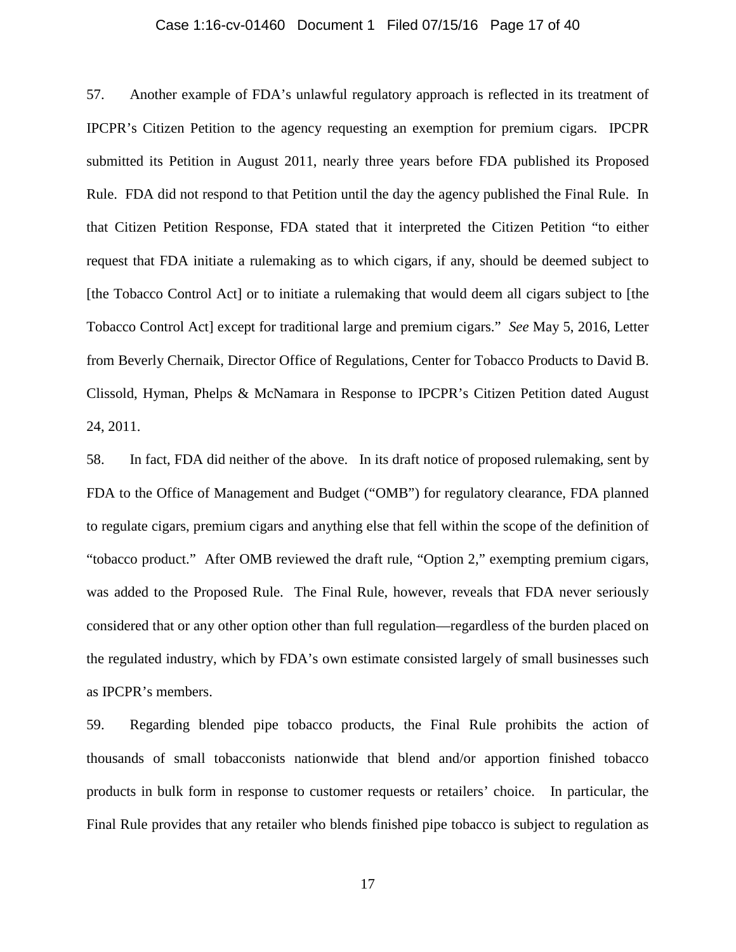### Case 1:16-cv-01460 Document 1 Filed 07/15/16 Page 17 of 40

57. Another example of FDA's unlawful regulatory approach is reflected in its treatment of IPCPR's Citizen Petition to the agency requesting an exemption for premium cigars. IPCPR submitted its Petition in August 2011, nearly three years before FDA published its Proposed Rule. FDA did not respond to that Petition until the day the agency published the Final Rule. In that Citizen Petition Response, FDA stated that it interpreted the Citizen Petition "to either request that FDA initiate a rulemaking as to which cigars, if any, should be deemed subject to [the Tobacco Control Act] or to initiate a rulemaking that would deem all cigars subject to [the Tobacco Control Act] except for traditional large and premium cigars." *See* May 5, 2016, Letter from Beverly Chernaik, Director Office of Regulations, Center for Tobacco Products to David B. Clissold, Hyman, Phelps & McNamara in Response to IPCPR's Citizen Petition dated August 24, 2011.

58. In fact, FDA did neither of the above. In its draft notice of proposed rulemaking, sent by FDA to the Office of Management and Budget ("OMB") for regulatory clearance, FDA planned to regulate cigars, premium cigars and anything else that fell within the scope of the definition of "tobacco product." After OMB reviewed the draft rule, "Option 2," exempting premium cigars, was added to the Proposed Rule. The Final Rule, however, reveals that FDA never seriously considered that or any other option other than full regulation—regardless of the burden placed on the regulated industry, which by FDA's own estimate consisted largely of small businesses such as IPCPR's members.

59. Regarding blended pipe tobacco products, the Final Rule prohibits the action of thousands of small tobacconists nationwide that blend and/or apportion finished tobacco products in bulk form in response to customer requests or retailers' choice. In particular, the Final Rule provides that any retailer who blends finished pipe tobacco is subject to regulation as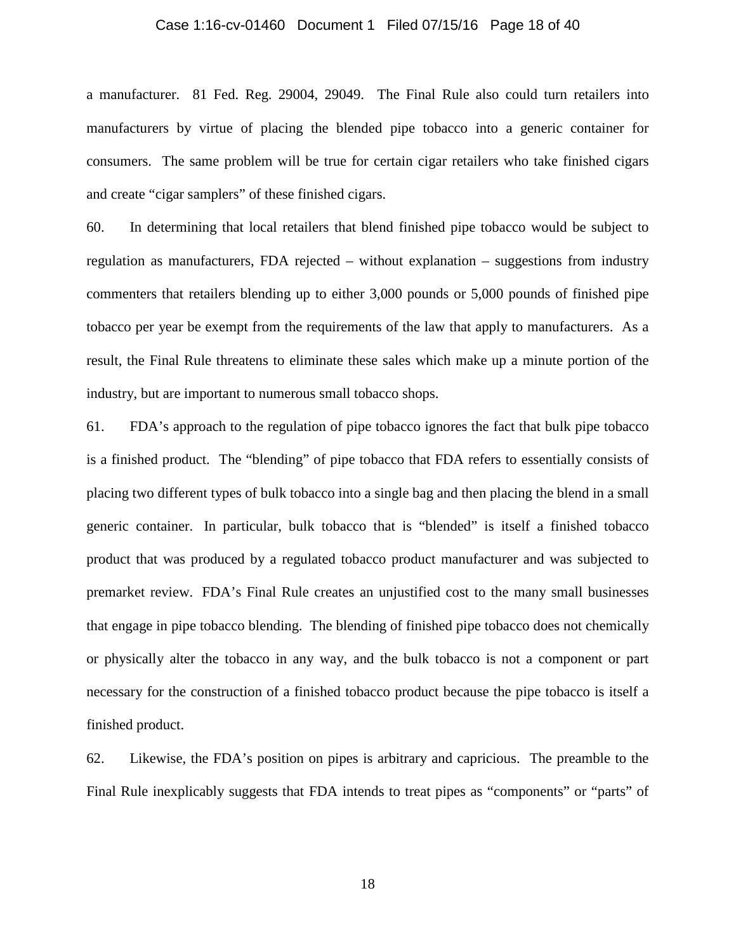#### Case 1:16-cv-01460 Document 1 Filed 07/15/16 Page 18 of 40

a manufacturer. 81 Fed. Reg. 29004, 29049. The Final Rule also could turn retailers into manufacturers by virtue of placing the blended pipe tobacco into a generic container for consumers. The same problem will be true for certain cigar retailers who take finished cigars and create "cigar samplers" of these finished cigars.

60. In determining that local retailers that blend finished pipe tobacco would be subject to regulation as manufacturers, FDA rejected – without explanation – suggestions from industry commenters that retailers blending up to either 3,000 pounds or 5,000 pounds of finished pipe tobacco per year be exempt from the requirements of the law that apply to manufacturers. As a result, the Final Rule threatens to eliminate these sales which make up a minute portion of the industry, but are important to numerous small tobacco shops.

61. FDA's approach to the regulation of pipe tobacco ignores the fact that bulk pipe tobacco is a finished product. The "blending" of pipe tobacco that FDA refers to essentially consists of placing two different types of bulk tobacco into a single bag and then placing the blend in a small generic container. In particular, bulk tobacco that is "blended" is itself a finished tobacco product that was produced by a regulated tobacco product manufacturer and was subjected to premarket review. FDA's Final Rule creates an unjustified cost to the many small businesses that engage in pipe tobacco blending. The blending of finished pipe tobacco does not chemically or physically alter the tobacco in any way, and the bulk tobacco is not a component or part necessary for the construction of a finished tobacco product because the pipe tobacco is itself a finished product.

62. Likewise, the FDA's position on pipes is arbitrary and capricious. The preamble to the Final Rule inexplicably suggests that FDA intends to treat pipes as "components" or "parts" of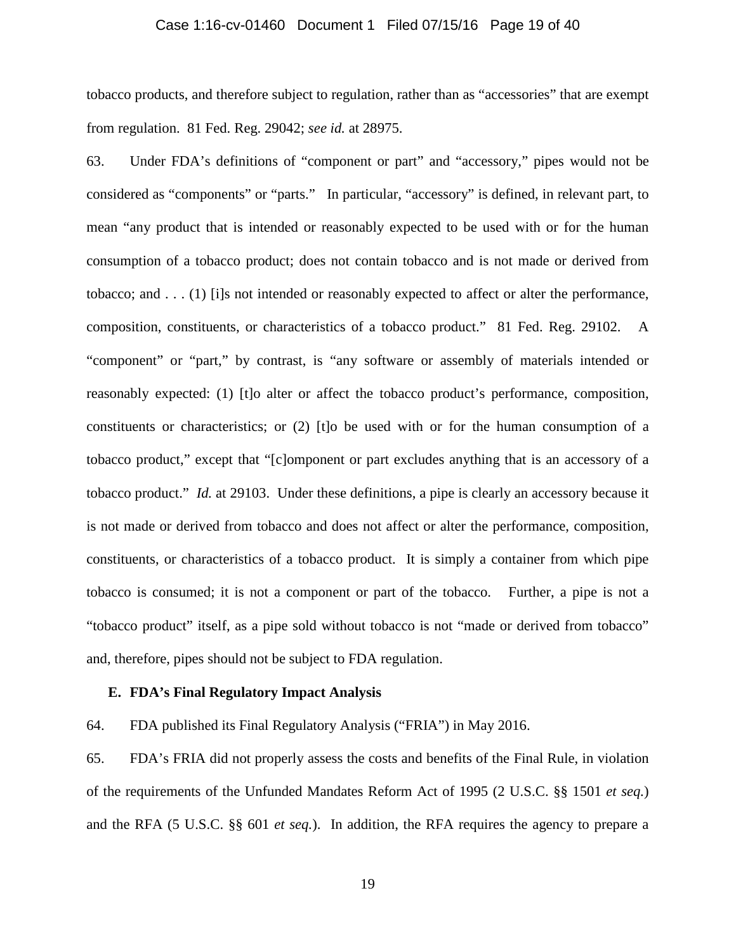### Case 1:16-cv-01460 Document 1 Filed 07/15/16 Page 19 of 40

tobacco products, and therefore subject to regulation, rather than as "accessories" that are exempt from regulation. 81 Fed. Reg. 29042; *see id.* at 28975.

63. Under FDA's definitions of "component or part" and "accessory," pipes would not be considered as "components" or "parts." In particular, "accessory" is defined, in relevant part, to mean "any product that is intended or reasonably expected to be used with or for the human consumption of a tobacco product; does not contain tobacco and is not made or derived from tobacco; and . . . (1) [i]s not intended or reasonably expected to affect or alter the performance, composition, constituents, or characteristics of a tobacco product." 81 Fed. Reg. 29102. A "component" or "part," by contrast, is "any software or assembly of materials intended or reasonably expected: (1) [t]o alter or affect the tobacco product's performance, composition, constituents or characteristics; or (2) [t]o be used with or for the human consumption of a tobacco product," except that "[c]omponent or part excludes anything that is an accessory of a tobacco product." *Id.* at 29103. Under these definitions, a pipe is clearly an accessory because it is not made or derived from tobacco and does not affect or alter the performance, composition, constituents, or characteristics of a tobacco product. It is simply a container from which pipe tobacco is consumed; it is not a component or part of the tobacco. Further, a pipe is not a "tobacco product" itself, as a pipe sold without tobacco is not "made or derived from tobacco" and, therefore, pipes should not be subject to FDA regulation.

### **E. FDA's Final Regulatory Impact Analysis**

64. FDA published its Final Regulatory Analysis ("FRIA") in May 2016.

65. FDA's FRIA did not properly assess the costs and benefits of the Final Rule, in violation of the requirements of the Unfunded Mandates Reform Act of 1995 (2 U.S.C. §§ 1501 *et seq.*) and the RFA (5 U.S.C. §§ 601 *et seq.*). In addition, the RFA requires the agency to prepare a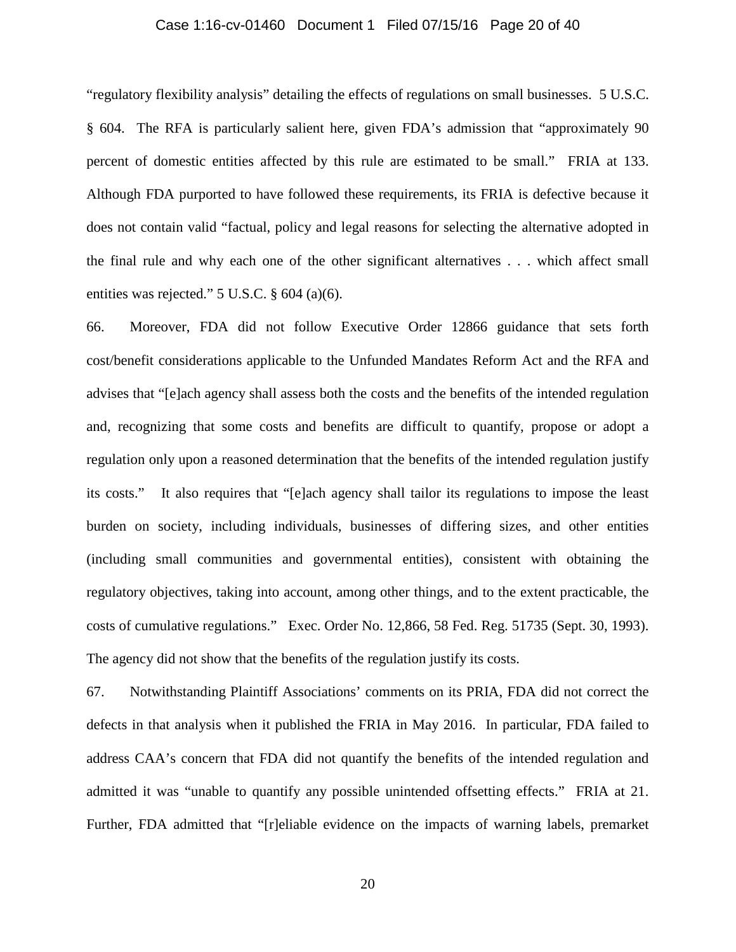### Case 1:16-cv-01460 Document 1 Filed 07/15/16 Page 20 of 40

"regulatory flexibility analysis" detailing the effects of regulations on small businesses. 5 U.S.C. § 604. The RFA is particularly salient here, given FDA's admission that "approximately 90 percent of domestic entities affected by this rule are estimated to be small." FRIA at 133. Although FDA purported to have followed these requirements, its FRIA is defective because it does not contain valid "factual, policy and legal reasons for selecting the alternative adopted in the final rule and why each one of the other significant alternatives . . . which affect small entities was rejected." 5 U.S.C. § 604 (a)(6).

66. Moreover, FDA did not follow Executive Order 12866 guidance that sets forth cost/benefit considerations applicable to the Unfunded Mandates Reform Act and the RFA and advises that "[e]ach agency shall assess both the costs and the benefits of the intended regulation and, recognizing that some costs and benefits are difficult to quantify, propose or adopt a regulation only upon a reasoned determination that the benefits of the intended regulation justify its costs." It also requires that "[e]ach agency shall tailor its regulations to impose the least burden on society, including individuals, businesses of differing sizes, and other entities (including small communities and governmental entities), consistent with obtaining the regulatory objectives, taking into account, among other things, and to the extent practicable, the costs of cumulative regulations." Exec. Order No. 12,866, 58 Fed. Reg. 51735 (Sept. 30, 1993). The agency did not show that the benefits of the regulation justify its costs.

67. Notwithstanding Plaintiff Associations' comments on its PRIA, FDA did not correct the defects in that analysis when it published the FRIA in May 2016. In particular, FDA failed to address CAA's concern that FDA did not quantify the benefits of the intended regulation and admitted it was "unable to quantify any possible unintended offsetting effects." FRIA at 21. Further, FDA admitted that "[r]eliable evidence on the impacts of warning labels, premarket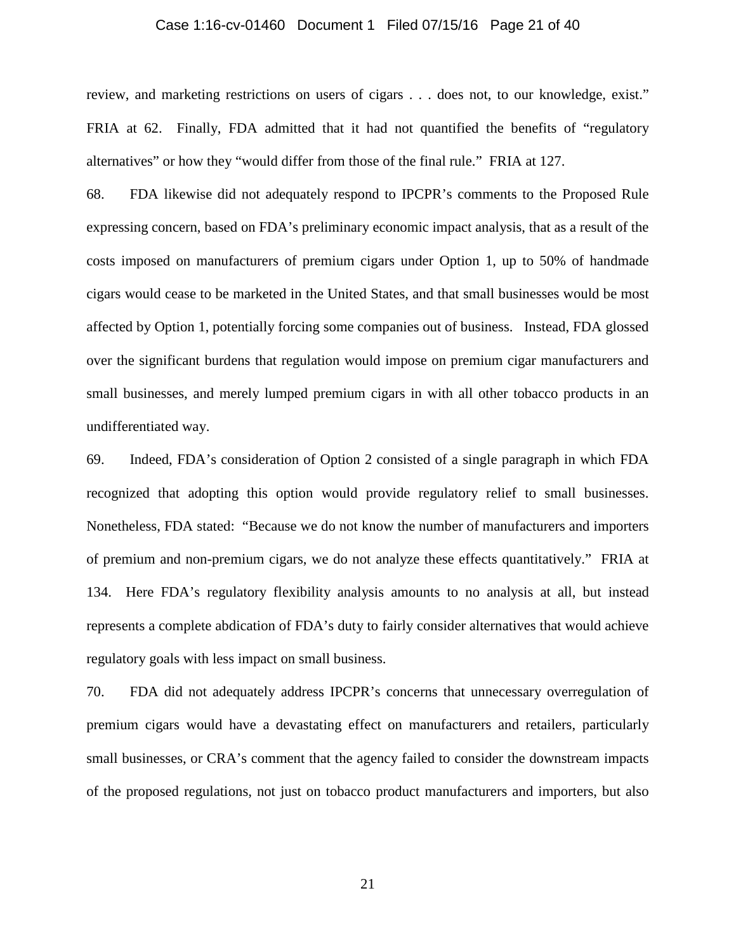### Case 1:16-cv-01460 Document 1 Filed 07/15/16 Page 21 of 40

review, and marketing restrictions on users of cigars . . . does not, to our knowledge, exist." FRIA at 62. Finally, FDA admitted that it had not quantified the benefits of "regulatory alternatives" or how they "would differ from those of the final rule." FRIA at 127.

68. FDA likewise did not adequately respond to IPCPR's comments to the Proposed Rule expressing concern, based on FDA's preliminary economic impact analysis, that as a result of the costs imposed on manufacturers of premium cigars under Option 1, up to 50% of handmade cigars would cease to be marketed in the United States, and that small businesses would be most affected by Option 1, potentially forcing some companies out of business. Instead, FDA glossed over the significant burdens that regulation would impose on premium cigar manufacturers and small businesses, and merely lumped premium cigars in with all other tobacco products in an undifferentiated way.

69. Indeed, FDA's consideration of Option 2 consisted of a single paragraph in which FDA recognized that adopting this option would provide regulatory relief to small businesses. Nonetheless, FDA stated: "Because we do not know the number of manufacturers and importers of premium and non-premium cigars, we do not analyze these effects quantitatively." FRIA at 134. Here FDA's regulatory flexibility analysis amounts to no analysis at all, but instead represents a complete abdication of FDA's duty to fairly consider alternatives that would achieve regulatory goals with less impact on small business.

70. FDA did not adequately address IPCPR's concerns that unnecessary overregulation of premium cigars would have a devastating effect on manufacturers and retailers, particularly small businesses, or CRA's comment that the agency failed to consider the downstream impacts of the proposed regulations, not just on tobacco product manufacturers and importers, but also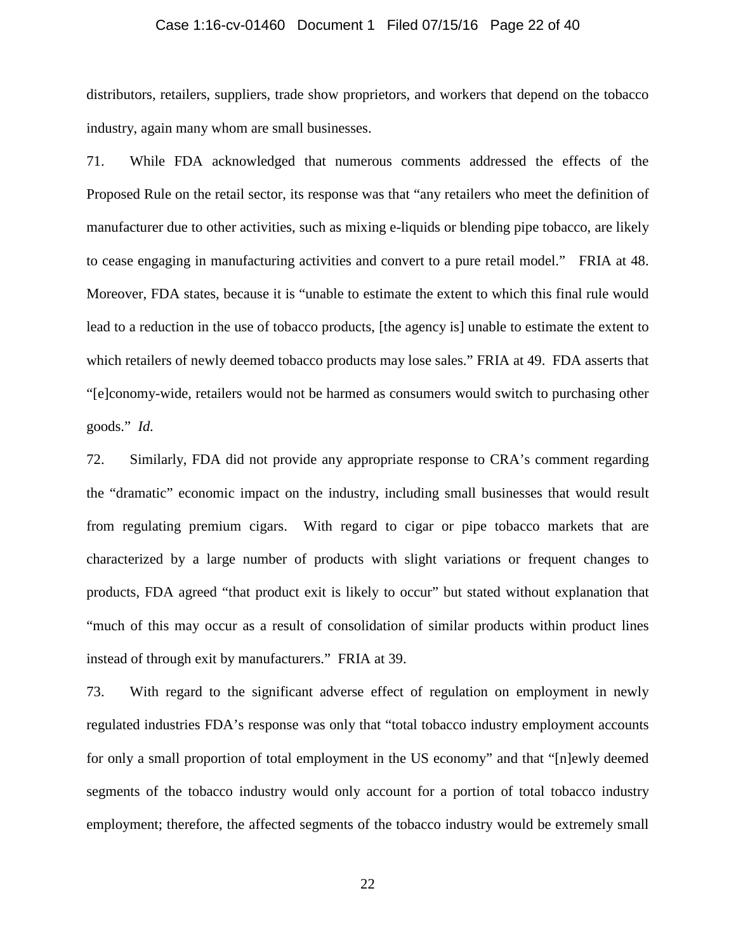### Case 1:16-cv-01460 Document 1 Filed 07/15/16 Page 22 of 40

distributors, retailers, suppliers, trade show proprietors, and workers that depend on the tobacco industry, again many whom are small businesses.

71. While FDA acknowledged that numerous comments addressed the effects of the Proposed Rule on the retail sector, its response was that "any retailers who meet the definition of manufacturer due to other activities, such as mixing e-liquids or blending pipe tobacco, are likely to cease engaging in manufacturing activities and convert to a pure retail model." FRIA at 48. Moreover, FDA states, because it is "unable to estimate the extent to which this final rule would lead to a reduction in the use of tobacco products, [the agency is] unable to estimate the extent to which retailers of newly deemed tobacco products may lose sales." FRIA at 49. FDA asserts that "[e]conomy-wide, retailers would not be harmed as consumers would switch to purchasing other goods." *Id.*

72. Similarly, FDA did not provide any appropriate response to CRA's comment regarding the "dramatic" economic impact on the industry, including small businesses that would result from regulating premium cigars. With regard to cigar or pipe tobacco markets that are characterized by a large number of products with slight variations or frequent changes to products, FDA agreed "that product exit is likely to occur" but stated without explanation that "much of this may occur as a result of consolidation of similar products within product lines instead of through exit by manufacturers." FRIA at 39.

73. With regard to the significant adverse effect of regulation on employment in newly regulated industries FDA's response was only that "total tobacco industry employment accounts for only a small proportion of total employment in the US economy" and that "[n]ewly deemed segments of the tobacco industry would only account for a portion of total tobacco industry employment; therefore, the affected segments of the tobacco industry would be extremely small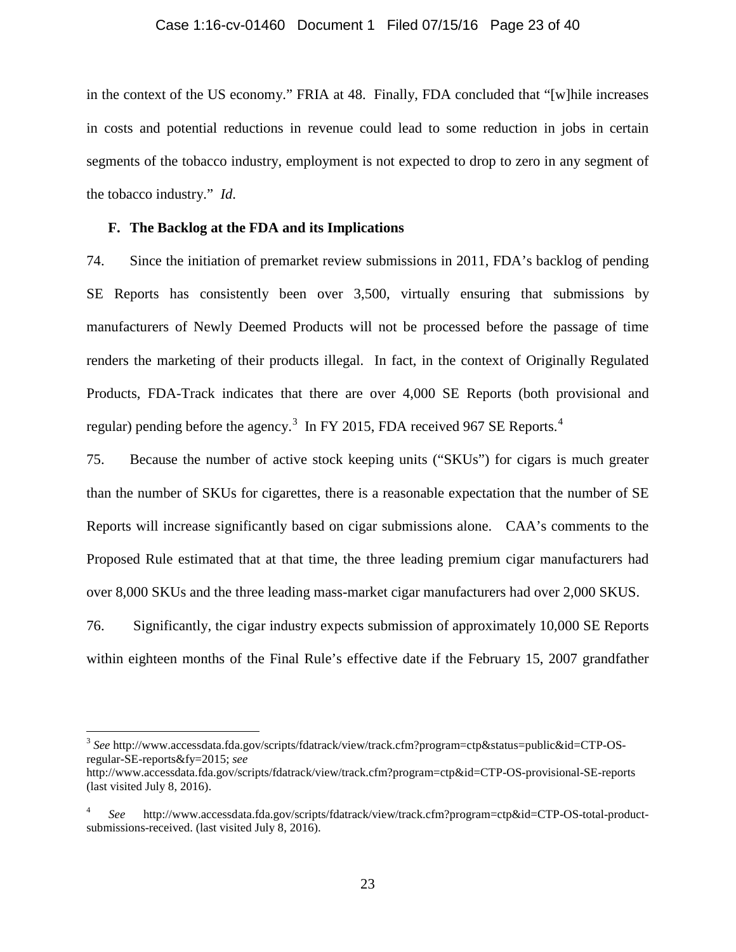### Case 1:16-cv-01460 Document 1 Filed 07/15/16 Page 23 of 40

in the context of the US economy." FRIA at 48. Finally, FDA concluded that "[w]hile increases in costs and potential reductions in revenue could lead to some reduction in jobs in certain segments of the tobacco industry, employment is not expected to drop to zero in any segment of the tobacco industry." *Id.*

### **F. The Backlog at the FDA and its Implications**

74. Since the initiation of premarket review submissions in 2011, FDA's backlog of pending SE Reports has consistently been over 3,500, virtually ensuring that submissions by manufacturers of Newly Deemed Products will not be processed before the passage of time renders the marketing of their products illegal. In fact, in the context of Originally Regulated Products, FDA-Track indicates that there are over 4,000 SE Reports (both provisional and regular) pending before the agency.<sup>[3](#page-22-0)</sup> In FY 2015, FDA received 967 SE Reports.<sup>[4](#page-22-1)</sup>

75. Because the number of active stock keeping units ("SKUs") for cigars is much greater than the number of SKUs for cigarettes, there is a reasonable expectation that the number of SE Reports will increase significantly based on cigar submissions alone. CAA's comments to the Proposed Rule estimated that at that time, the three leading premium cigar manufacturers had over 8,000 SKUs and the three leading mass-market cigar manufacturers had over 2,000 SKUS.

76. Significantly, the cigar industry expects submission of approximately 10,000 SE Reports within eighteen months of the Final Rule's effective date if the February 15, 2007 grandfather

<span id="page-22-0"></span> <sup>3</sup> *See* http://www.accessdata.fda.gov/scripts/fdatrack/view/track.cfm?program=ctp&status=public&id=CTP-OSregular-SE-reports&fy=2015; *see*

http://www.accessdata.fda.gov/scripts/fdatrack/view/track.cfm?program=ctp&id=CTP-OS-provisional-SE-reports (last visited July 8, 2016).

<span id="page-22-1"></span><sup>4</sup> *See* http://www.accessdata.fda.gov/scripts/fdatrack/view/track.cfm?program=ctp&id=CTP-OS-total-productsubmissions-received. (last visited July 8, 2016).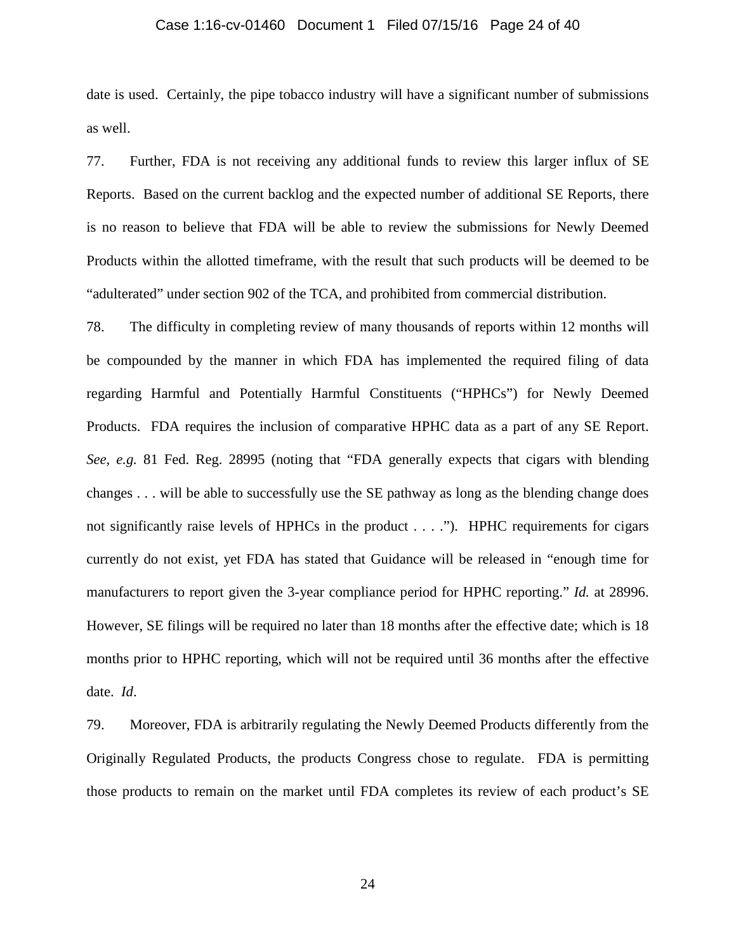### Case 1:16-cv-01460 Document 1 Filed 07/15/16 Page 24 of 40

date is used. Certainly, the pipe tobacco industry will have a significant number of submissions as well.

77. Further, FDA is not receiving any additional funds to review this larger influx of SE Reports. Based on the current backlog and the expected number of additional SE Reports, there is no reason to believe that FDA will be able to review the submissions for Newly Deemed Products within the allotted timeframe, with the result that such products will be deemed to be "adulterated" under section 902 of the TCA, and prohibited from commercial distribution.

78. The difficulty in completing review of many thousands of reports within 12 months will be compounded by the manner in which FDA has implemented the required filing of data regarding Harmful and Potentially Harmful Constituents ("HPHCs") for Newly Deemed Products. FDA requires the inclusion of comparative HPHC data as a part of any SE Report. *See, e.g.* 81 Fed. Reg. 28995 (noting that "FDA generally expects that cigars with blending changes . . . will be able to successfully use the SE pathway as long as the blending change does not significantly raise levels of HPHCs in the product . . . ."). HPHC requirements for cigars currently do not exist, yet FDA has stated that Guidance will be released in "enough time for manufacturers to report given the 3-year compliance period for HPHC reporting." *Id.* at 28996. However, SE filings will be required no later than 18 months after the effective date; which is 18 months prior to HPHC reporting, which will not be required until 36 months after the effective date. *Id*.

79. Moreover, FDA is arbitrarily regulating the Newly Deemed Products differently from the Originally Regulated Products, the products Congress chose to regulate. FDA is permitting those products to remain on the market until FDA completes its review of each product's SE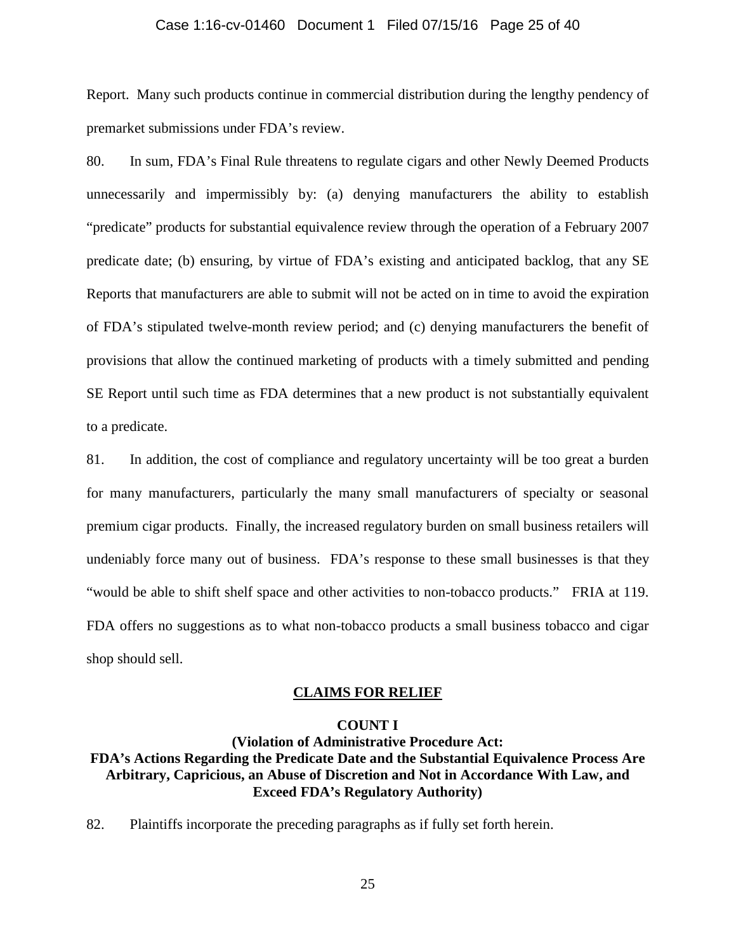### Case 1:16-cv-01460 Document 1 Filed 07/15/16 Page 25 of 40

Report. Many such products continue in commercial distribution during the lengthy pendency of premarket submissions under FDA's review.

80. In sum, FDA's Final Rule threatens to regulate cigars and other Newly Deemed Products unnecessarily and impermissibly by: (a) denying manufacturers the ability to establish "predicate" products for substantial equivalence review through the operation of a February 2007 predicate date; (b) ensuring, by virtue of FDA's existing and anticipated backlog, that any SE Reports that manufacturers are able to submit will not be acted on in time to avoid the expiration of FDA's stipulated twelve-month review period; and (c) denying manufacturers the benefit of provisions that allow the continued marketing of products with a timely submitted and pending SE Report until such time as FDA determines that a new product is not substantially equivalent to a predicate.

81. In addition, the cost of compliance and regulatory uncertainty will be too great a burden for many manufacturers, particularly the many small manufacturers of specialty or seasonal premium cigar products. Finally, the increased regulatory burden on small business retailers will undeniably force many out of business. FDA's response to these small businesses is that they "would be able to shift shelf space and other activities to non-tobacco products." FRIA at 119. FDA offers no suggestions as to what non-tobacco products a small business tobacco and cigar shop should sell.

#### **CLAIMS FOR RELIEF**

#### **COUNT I**

# **(Violation of Administrative Procedure Act: FDA's Actions Regarding the Predicate Date and the Substantial Equivalence Process Are Arbitrary, Capricious, an Abuse of Discretion and Not in Accordance With Law, and Exceed FDA's Regulatory Authority)**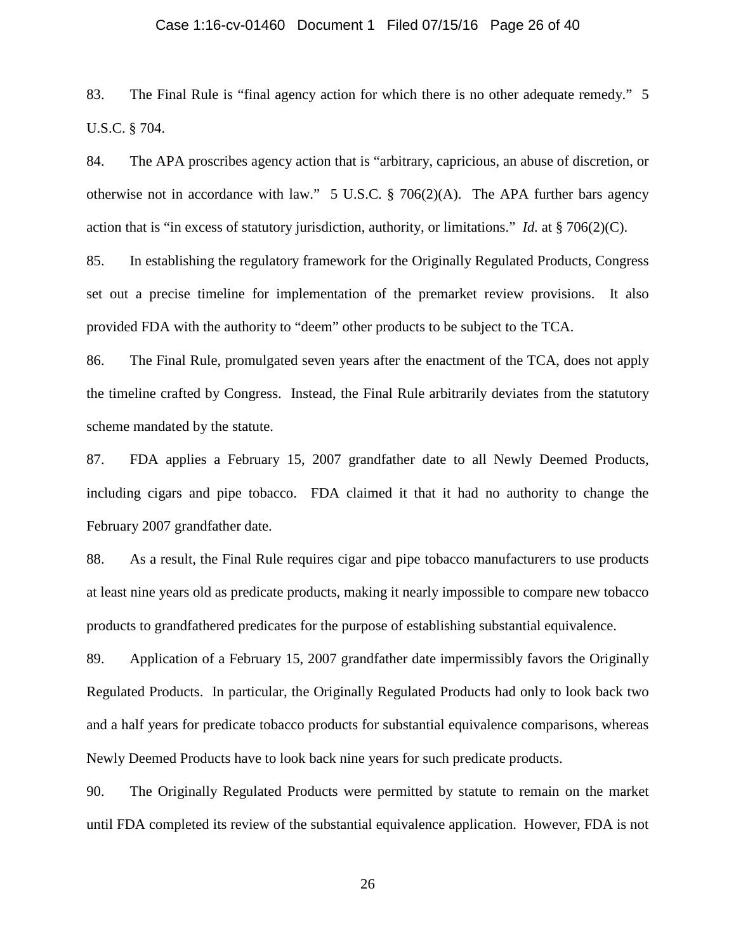### Case 1:16-cv-01460 Document 1 Filed 07/15/16 Page 26 of 40

83. The Final Rule is "final agency action for which there is no other adequate remedy." 5 U.S.C. § 704.

84. The APA proscribes agency action that is "arbitrary, capricious, an abuse of discretion, or otherwise not in accordance with law." 5 U.S.C.  $\S$  706(2)(A). The APA further bars agency action that is "in excess of statutory jurisdiction, authority, or limitations." *Id.* at § 706(2)(C).

85. In establishing the regulatory framework for the Originally Regulated Products, Congress set out a precise timeline for implementation of the premarket review provisions. It also provided FDA with the authority to "deem" other products to be subject to the TCA.

86. The Final Rule, promulgated seven years after the enactment of the TCA, does not apply the timeline crafted by Congress. Instead, the Final Rule arbitrarily deviates from the statutory scheme mandated by the statute.

87. FDA applies a February 15, 2007 grandfather date to all Newly Deemed Products, including cigars and pipe tobacco. FDA claimed it that it had no authority to change the February 2007 grandfather date.

88. As a result, the Final Rule requires cigar and pipe tobacco manufacturers to use products at least nine years old as predicate products, making it nearly impossible to compare new tobacco products to grandfathered predicates for the purpose of establishing substantial equivalence.

89. Application of a February 15, 2007 grandfather date impermissibly favors the Originally Regulated Products. In particular, the Originally Regulated Products had only to look back two and a half years for predicate tobacco products for substantial equivalence comparisons, whereas Newly Deemed Products have to look back nine years for such predicate products.

90. The Originally Regulated Products were permitted by statute to remain on the market until FDA completed its review of the substantial equivalence application. However, FDA is not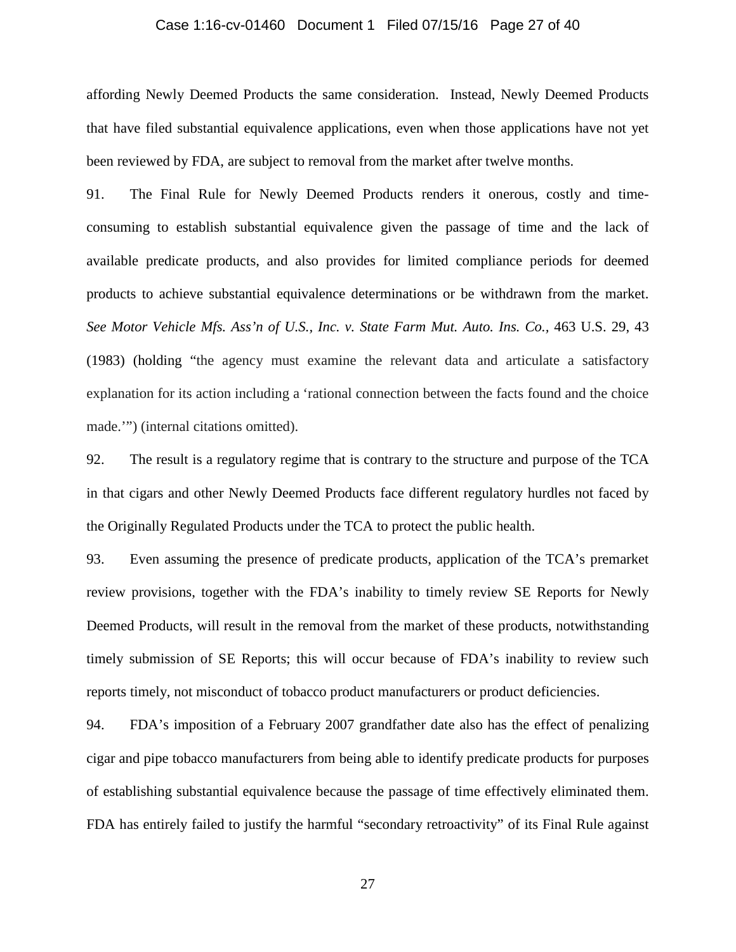### Case 1:16-cv-01460 Document 1 Filed 07/15/16 Page 27 of 40

affording Newly Deemed Products the same consideration. Instead, Newly Deemed Products that have filed substantial equivalence applications, even when those applications have not yet been reviewed by FDA, are subject to removal from the market after twelve months.

91. The Final Rule for Newly Deemed Products renders it onerous, costly and timeconsuming to establish substantial equivalence given the passage of time and the lack of available predicate products, and also provides for limited compliance periods for deemed products to achieve substantial equivalence determinations or be withdrawn from the market. *See Motor Vehicle Mfs. Ass'n of U.S., Inc. v. State Farm Mut. Auto. Ins. Co.,* 463 U.S. 29, 43 (1983) (holding "the agency must examine the relevant data and articulate a satisfactory explanation for its action including a 'rational connection between the facts found and the choice made.'") (internal citations omitted).

92. The result is a regulatory regime that is contrary to the structure and purpose of the TCA in that cigars and other Newly Deemed Products face different regulatory hurdles not faced by the Originally Regulated Products under the TCA to protect the public health.

93. Even assuming the presence of predicate products, application of the TCA's premarket review provisions, together with the FDA's inability to timely review SE Reports for Newly Deemed Products, will result in the removal from the market of these products, notwithstanding timely submission of SE Reports; this will occur because of FDA's inability to review such reports timely, not misconduct of tobacco product manufacturers or product deficiencies.

94. FDA's imposition of a February 2007 grandfather date also has the effect of penalizing cigar and pipe tobacco manufacturers from being able to identify predicate products for purposes of establishing substantial equivalence because the passage of time effectively eliminated them. FDA has entirely failed to justify the harmful "secondary retroactivity" of its Final Rule against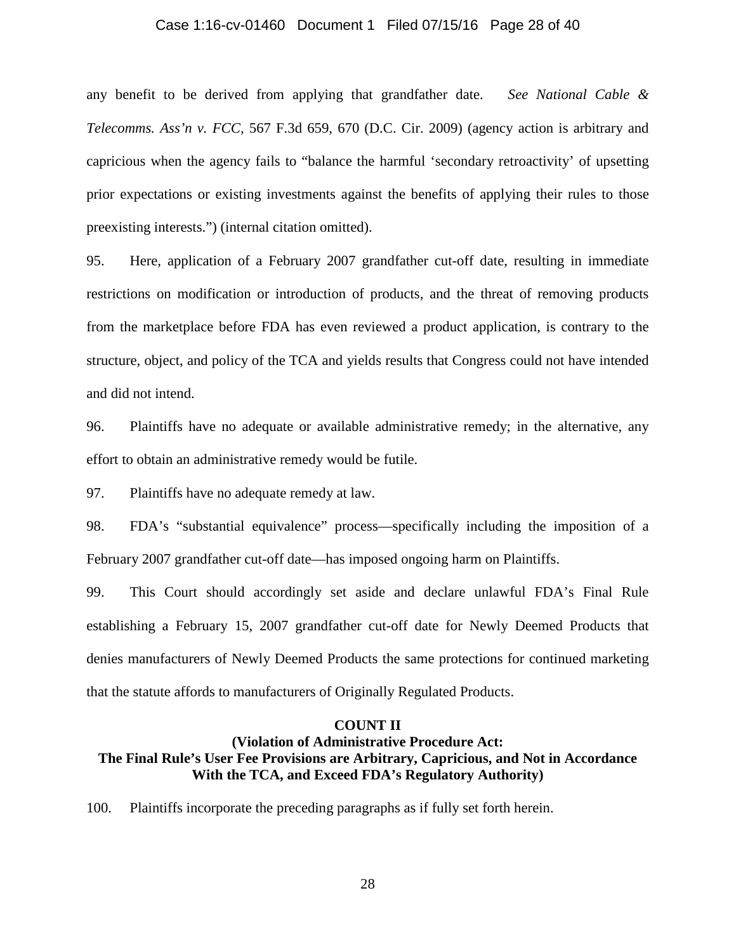### Case 1:16-cv-01460 Document 1 Filed 07/15/16 Page 28 of 40

any benefit to be derived from applying that grandfather date. *See National Cable & Telecomms. Ass'n v. FCC,* 567 F.3d 659, 670 (D.C. Cir. 2009) (agency action is arbitrary and capricious when the agency fails to "balance the harmful 'secondary retroactivity' of upsetting prior expectations or existing investments against the benefits of applying their rules to those preexisting interests.") (internal citation omitted).

95. Here, application of a February 2007 grandfather cut-off date, resulting in immediate restrictions on modification or introduction of products, and the threat of removing products from the marketplace before FDA has even reviewed a product application, is contrary to the structure, object, and policy of the TCA and yields results that Congress could not have intended and did not intend.

96. Plaintiffs have no adequate or available administrative remedy; in the alternative, any effort to obtain an administrative remedy would be futile.

97. Plaintiffs have no adequate remedy at law.

98. FDA's "substantial equivalence" process—specifically including the imposition of a February 2007 grandfather cut-off date—has imposed ongoing harm on Plaintiffs.

99. This Court should accordingly set aside and declare unlawful FDA's Final Rule establishing a February 15, 2007 grandfather cut-off date for Newly Deemed Products that denies manufacturers of Newly Deemed Products the same protections for continued marketing that the statute affords to manufacturers of Originally Regulated Products.

### **COUNT II**

# **(Violation of Administrative Procedure Act: The Final Rule's User Fee Provisions are Arbitrary, Capricious, and Not in Accordance With the TCA, and Exceed FDA's Regulatory Authority)**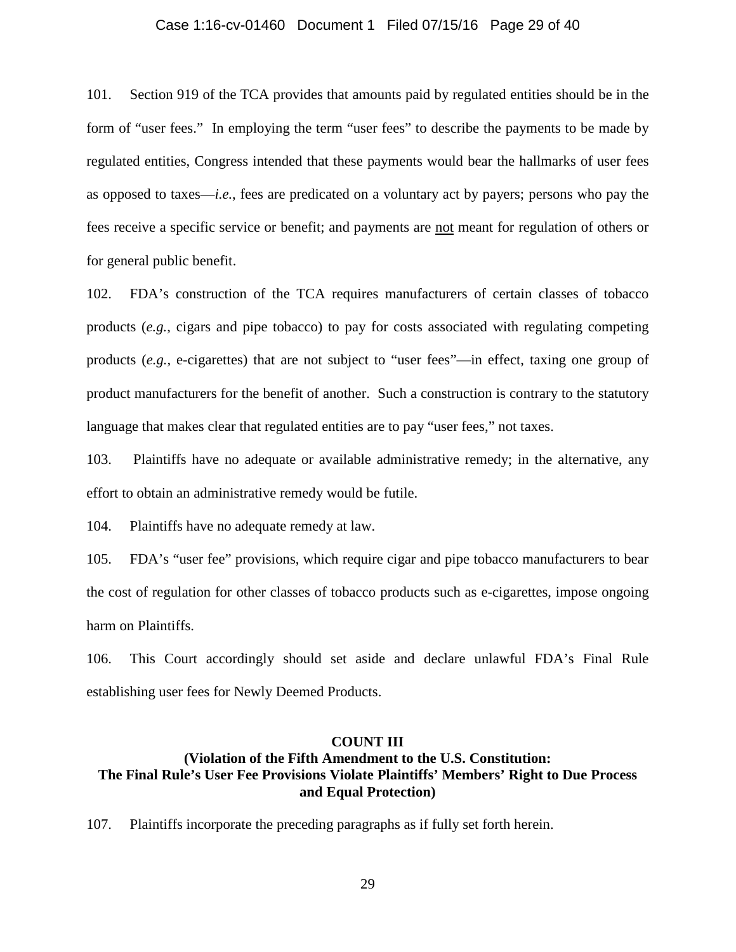### Case 1:16-cv-01460 Document 1 Filed 07/15/16 Page 29 of 40

101. Section 919 of the TCA provides that amounts paid by regulated entities should be in the form of "user fees." In employing the term "user fees" to describe the payments to be made by regulated entities, Congress intended that these payments would bear the hallmarks of user fees as opposed to taxes—*i.e.*, fees are predicated on a voluntary act by payers; persons who pay the fees receive a specific service or benefit; and payments are not meant for regulation of others or for general public benefit.

102. FDA's construction of the TCA requires manufacturers of certain classes of tobacco products (*e.g.*, cigars and pipe tobacco) to pay for costs associated with regulating competing products (*e.g.*, e-cigarettes) that are not subject to "user fees"—in effect, taxing one group of product manufacturers for the benefit of another. Such a construction is contrary to the statutory language that makes clear that regulated entities are to pay "user fees," not taxes.

103. Plaintiffs have no adequate or available administrative remedy; in the alternative, any effort to obtain an administrative remedy would be futile.

104. Plaintiffs have no adequate remedy at law.

105. FDA's "user fee" provisions, which require cigar and pipe tobacco manufacturers to bear the cost of regulation for other classes of tobacco products such as e-cigarettes, impose ongoing harm on Plaintiffs.

106. This Court accordingly should set aside and declare unlawful FDA's Final Rule establishing user fees for Newly Deemed Products.

#### **COUNT III**

# **(Violation of the Fifth Amendment to the U.S. Constitution: The Final Rule's User Fee Provisions Violate Plaintiffs' Members' Right to Due Process and Equal Protection)**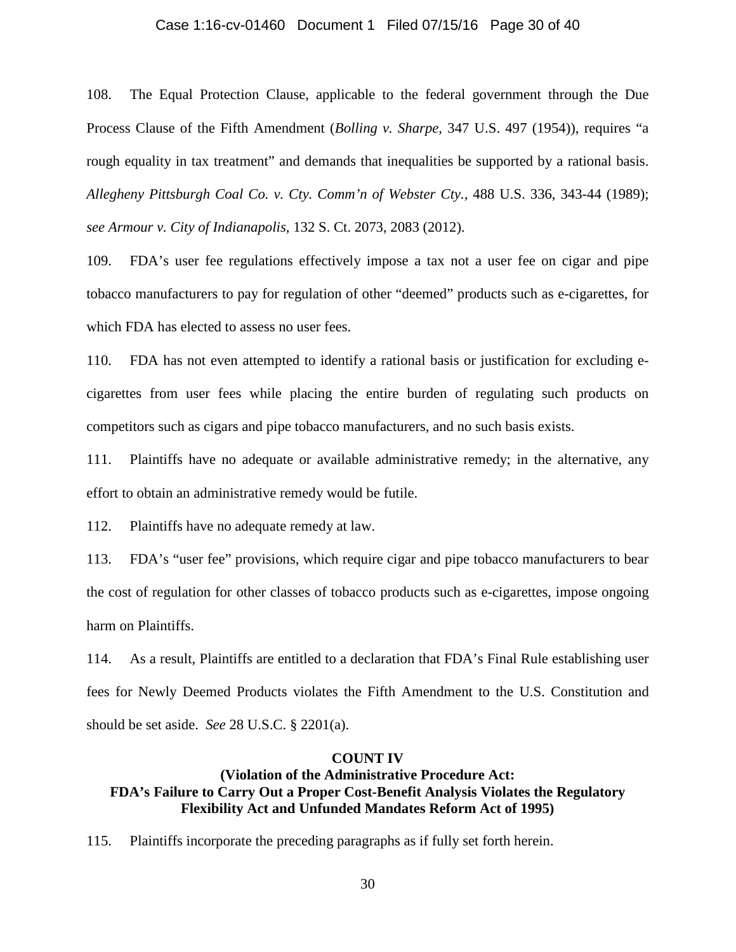### Case 1:16-cv-01460 Document 1 Filed 07/15/16 Page 30 of 40

108. The Equal Protection Clause, applicable to the federal government through the Due Process Clause of the Fifth Amendment (*Bolling v. Sharpe,* 347 U.S. 497 (1954)), requires "a rough equality in tax treatment" and demands that inequalities be supported by a rational basis. *Allegheny Pittsburgh Coal Co. v. Cty. Comm'n of Webster Cty.,* 488 U.S. 336, 343-44 (1989); *see Armour v. City of Indianapolis*, 132 S. Ct. 2073, 2083 (2012).

109. FDA's user fee regulations effectively impose a tax not a user fee on cigar and pipe tobacco manufacturers to pay for regulation of other "deemed" products such as e-cigarettes, for which FDA has elected to assess no user fees.

110. FDA has not even attempted to identify a rational basis or justification for excluding ecigarettes from user fees while placing the entire burden of regulating such products on competitors such as cigars and pipe tobacco manufacturers, and no such basis exists.

111. Plaintiffs have no adequate or available administrative remedy; in the alternative, any effort to obtain an administrative remedy would be futile.

112. Plaintiffs have no adequate remedy at law.

113. FDA's "user fee" provisions, which require cigar and pipe tobacco manufacturers to bear the cost of regulation for other classes of tobacco products such as e-cigarettes, impose ongoing harm on Plaintiffs.

114. As a result, Plaintiffs are entitled to a declaration that FDA's Final Rule establishing user fees for Newly Deemed Products violates the Fifth Amendment to the U.S. Constitution and should be set aside. *See* 28 U.S.C. § 2201(a).

### **COUNT IV**

# **(Violation of the Administrative Procedure Act: FDA's Failure to Carry Out a Proper Cost-Benefit Analysis Violates the Regulatory Flexibility Act and Unfunded Mandates Reform Act of 1995)**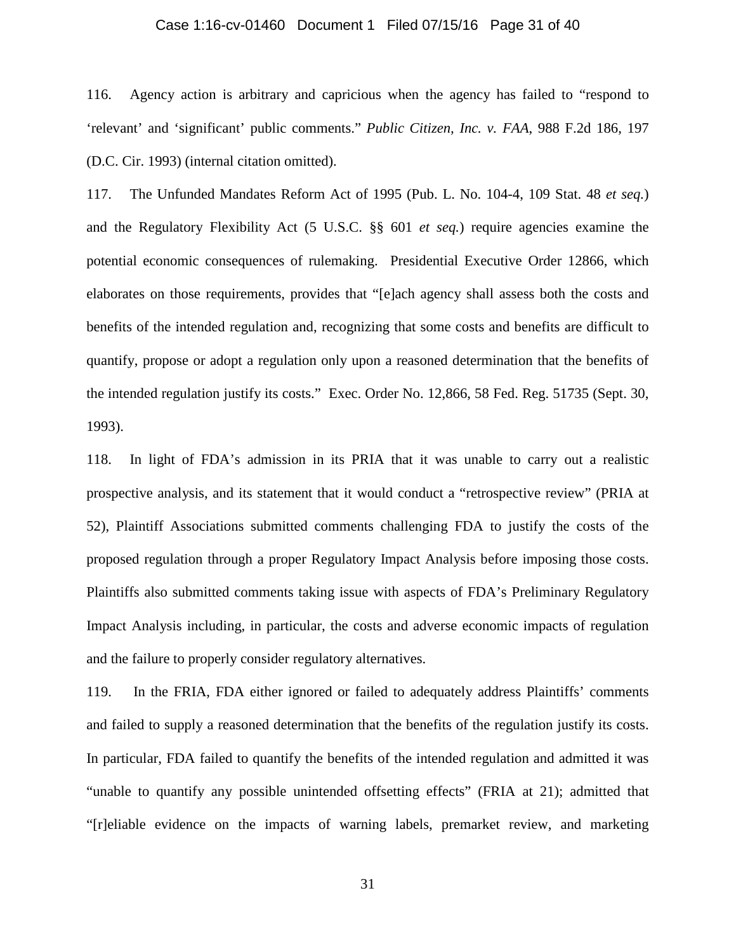### Case 1:16-cv-01460 Document 1 Filed 07/15/16 Page 31 of 40

116. Agency action is arbitrary and capricious when the agency has failed to "respond to 'relevant' and 'significant' public comments." *Public Citizen, Inc. v. FAA*, 988 F.2d 186, 197 (D.C. Cir. 1993) (internal citation omitted).

117. The Unfunded Mandates Reform Act of 1995 (Pub. L. No. 104-4, 109 Stat. 48 *et seq.*) and the Regulatory Flexibility Act (5 U.S.C. §§ 601 *et seq.*) require agencies examine the potential economic consequences of rulemaking. Presidential Executive Order 12866, which elaborates on those requirements, provides that "[e]ach agency shall assess both the costs and benefits of the intended regulation and, recognizing that some costs and benefits are difficult to quantify, propose or adopt a regulation only upon a reasoned determination that the benefits of the intended regulation justify its costs." Exec. Order No. 12,866, 58 Fed. Reg. 51735 (Sept. 30, 1993).

118. In light of FDA's admission in its PRIA that it was unable to carry out a realistic prospective analysis, and its statement that it would conduct a "retrospective review" (PRIA at 52), Plaintiff Associations submitted comments challenging FDA to justify the costs of the proposed regulation through a proper Regulatory Impact Analysis before imposing those costs. Plaintiffs also submitted comments taking issue with aspects of FDA's Preliminary Regulatory Impact Analysis including, in particular, the costs and adverse economic impacts of regulation and the failure to properly consider regulatory alternatives.

119. In the FRIA, FDA either ignored or failed to adequately address Plaintiffs' comments and failed to supply a reasoned determination that the benefits of the regulation justify its costs. In particular, FDA failed to quantify the benefits of the intended regulation and admitted it was "unable to quantify any possible unintended offsetting effects" (FRIA at 21); admitted that "[r]eliable evidence on the impacts of warning labels, premarket review, and marketing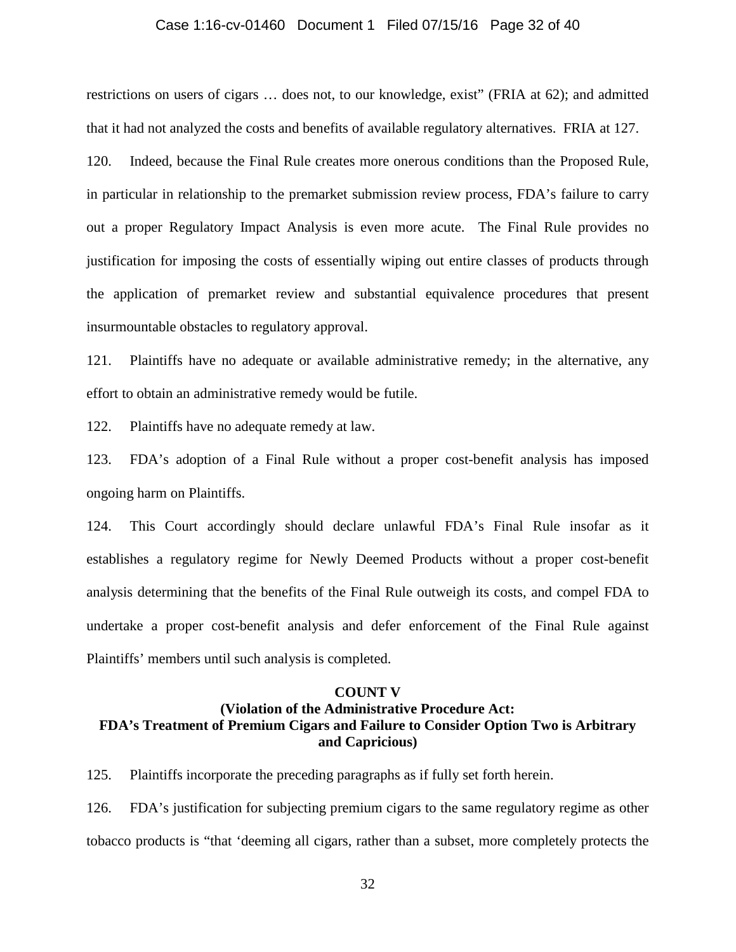### Case 1:16-cv-01460 Document 1 Filed 07/15/16 Page 32 of 40

restrictions on users of cigars … does not, to our knowledge, exist" (FRIA at 62); and admitted that it had not analyzed the costs and benefits of available regulatory alternatives. FRIA at 127. 120. Indeed, because the Final Rule creates more onerous conditions than the Proposed Rule, in particular in relationship to the premarket submission review process, FDA's failure to carry out a proper Regulatory Impact Analysis is even more acute. The Final Rule provides no justification for imposing the costs of essentially wiping out entire classes of products through the application of premarket review and substantial equivalence procedures that present insurmountable obstacles to regulatory approval.

121. Plaintiffs have no adequate or available administrative remedy; in the alternative, any effort to obtain an administrative remedy would be futile.

122. Plaintiffs have no adequate remedy at law.

123. FDA's adoption of a Final Rule without a proper cost-benefit analysis has imposed ongoing harm on Plaintiffs.

124. This Court accordingly should declare unlawful FDA's Final Rule insofar as it establishes a regulatory regime for Newly Deemed Products without a proper cost-benefit analysis determining that the benefits of the Final Rule outweigh its costs, and compel FDA to undertake a proper cost-benefit analysis and defer enforcement of the Final Rule against Plaintiffs' members until such analysis is completed.

#### **COUNT V**

# **(Violation of the Administrative Procedure Act: FDA's Treatment of Premium Cigars and Failure to Consider Option Two is Arbitrary and Capricious)**

125. Plaintiffs incorporate the preceding paragraphs as if fully set forth herein.

126. FDA's justification for subjecting premium cigars to the same regulatory regime as other tobacco products is "that 'deeming all cigars, rather than a subset, more completely protects the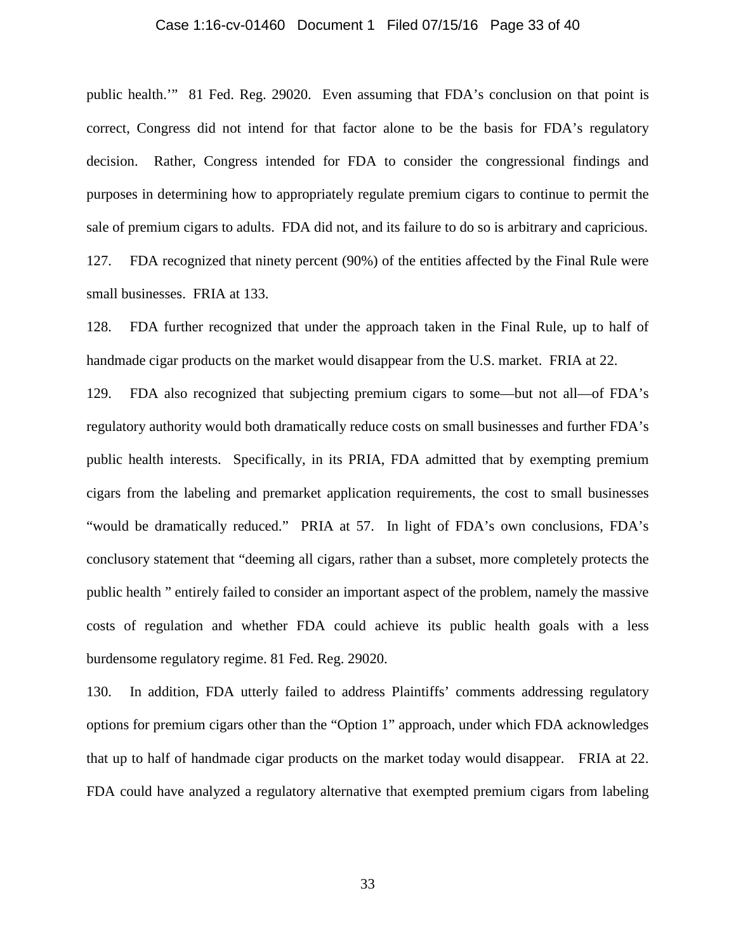### Case 1:16-cv-01460 Document 1 Filed 07/15/16 Page 33 of 40

public health.'" 81 Fed. Reg. 29020. Even assuming that FDA's conclusion on that point is correct, Congress did not intend for that factor alone to be the basis for FDA's regulatory decision. Rather, Congress intended for FDA to consider the congressional findings and purposes in determining how to appropriately regulate premium cigars to continue to permit the sale of premium cigars to adults. FDA did not, and its failure to do so is arbitrary and capricious. 127. FDA recognized that ninety percent (90%) of the entities affected by the Final Rule were small businesses. FRIA at 133.

128. FDA further recognized that under the approach taken in the Final Rule, up to half of handmade cigar products on the market would disappear from the U.S. market. FRIA at 22.

129. FDA also recognized that subjecting premium cigars to some—but not all—of FDA's regulatory authority would both dramatically reduce costs on small businesses and further FDA's public health interests. Specifically, in its PRIA, FDA admitted that by exempting premium cigars from the labeling and premarket application requirements, the cost to small businesses "would be dramatically reduced." PRIA at 57. In light of FDA's own conclusions, FDA's conclusory statement that "deeming all cigars, rather than a subset, more completely protects the public health " entirely failed to consider an important aspect of the problem, namely the massive costs of regulation and whether FDA could achieve its public health goals with a less burdensome regulatory regime. 81 Fed. Reg. 29020.

130. In addition, FDA utterly failed to address Plaintiffs' comments addressing regulatory options for premium cigars other than the "Option 1" approach, under which FDA acknowledges that up to half of handmade cigar products on the market today would disappear. FRIA at 22. FDA could have analyzed a regulatory alternative that exempted premium cigars from labeling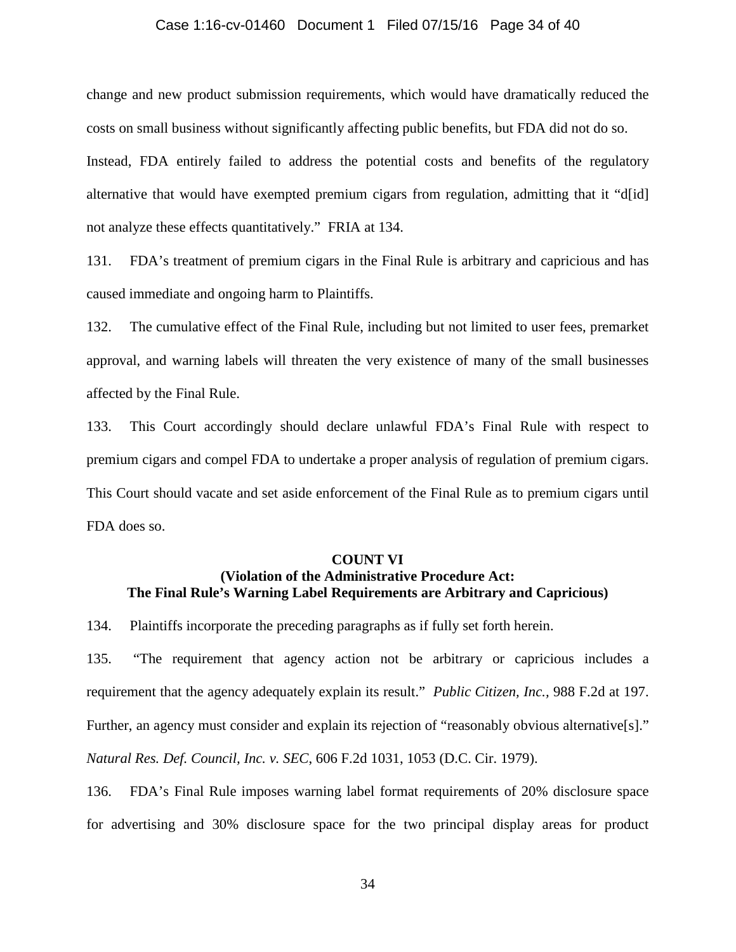### Case 1:16-cv-01460 Document 1 Filed 07/15/16 Page 34 of 40

change and new product submission requirements, which would have dramatically reduced the costs on small business without significantly affecting public benefits, but FDA did not do so. Instead, FDA entirely failed to address the potential costs and benefits of the regulatory alternative that would have exempted premium cigars from regulation, admitting that it "d[id] not analyze these effects quantitatively." FRIA at 134.

131. FDA's treatment of premium cigars in the Final Rule is arbitrary and capricious and has caused immediate and ongoing harm to Plaintiffs.

132. The cumulative effect of the Final Rule, including but not limited to user fees, premarket approval, and warning labels will threaten the very existence of many of the small businesses affected by the Final Rule.

133. This Court accordingly should declare unlawful FDA's Final Rule with respect to premium cigars and compel FDA to undertake a proper analysis of regulation of premium cigars. This Court should vacate and set aside enforcement of the Final Rule as to premium cigars until FDA does so.

### **COUNT VI**

# **(Violation of the Administrative Procedure Act: The Final Rule's Warning Label Requirements are Arbitrary and Capricious)**

134. Plaintiffs incorporate the preceding paragraphs as if fully set forth herein.

135. "The requirement that agency action not be arbitrary or capricious includes a requirement that the agency adequately explain its result." *Public Citizen, Inc.,* 988 F.2d at 197. Further, an agency must consider and explain its rejection of "reasonably obvious alternative[s]." *Natural Res. Def. Council, Inc. v. SEC*, 606 F.2d 1031, 1053 (D.C. Cir. 1979).

136. FDA's Final Rule imposes warning label format requirements of 20% disclosure space for advertising and 30% disclosure space for the two principal display areas for product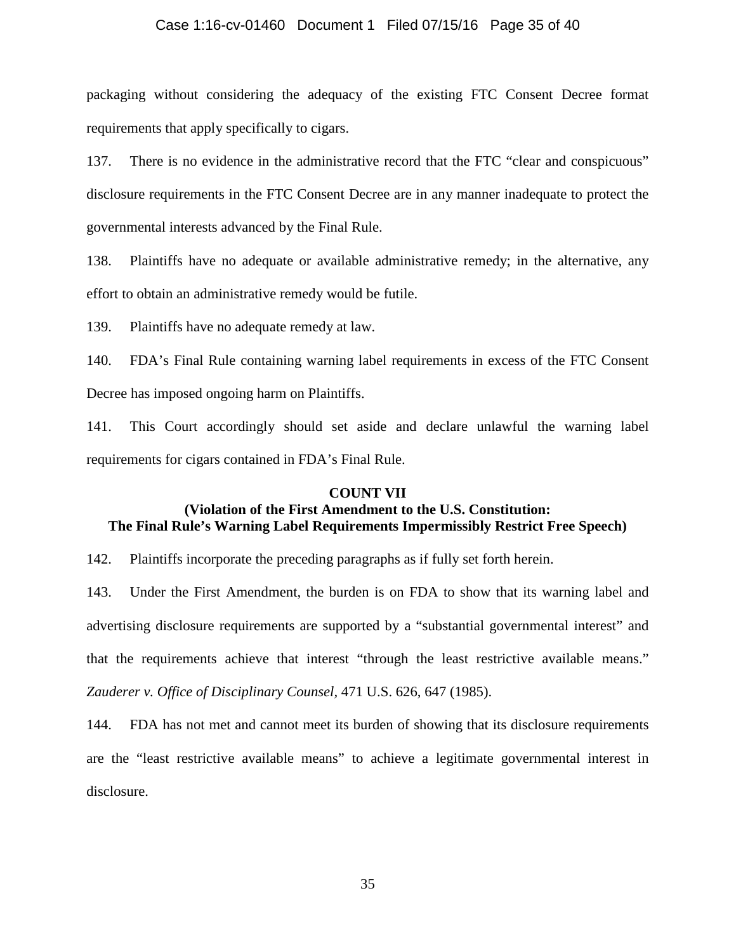### Case 1:16-cv-01460 Document 1 Filed 07/15/16 Page 35 of 40

packaging without considering the adequacy of the existing FTC Consent Decree format requirements that apply specifically to cigars.

137. There is no evidence in the administrative record that the FTC "clear and conspicuous" disclosure requirements in the FTC Consent Decree are in any manner inadequate to protect the governmental interests advanced by the Final Rule.

138. Plaintiffs have no adequate or available administrative remedy; in the alternative, any effort to obtain an administrative remedy would be futile.

139. Plaintiffs have no adequate remedy at law.

140. FDA's Final Rule containing warning label requirements in excess of the FTC Consent Decree has imposed ongoing harm on Plaintiffs.

141. This Court accordingly should set aside and declare unlawful the warning label requirements for cigars contained in FDA's Final Rule.

### **COUNT VII**

### **(Violation of the First Amendment to the U.S. Constitution: The Final Rule's Warning Label Requirements Impermissibly Restrict Free Speech)**

142. Plaintiffs incorporate the preceding paragraphs as if fully set forth herein.

143. Under the First Amendment, the burden is on FDA to show that its warning label and advertising disclosure requirements are supported by a "substantial governmental interest" and that the requirements achieve that interest "through the least restrictive available means." *Zauderer v. Office of Disciplinary Counsel,* 471 U.S. 626, 647 (1985).

144. FDA has not met and cannot meet its burden of showing that its disclosure requirements are the "least restrictive available means" to achieve a legitimate governmental interest in disclosure.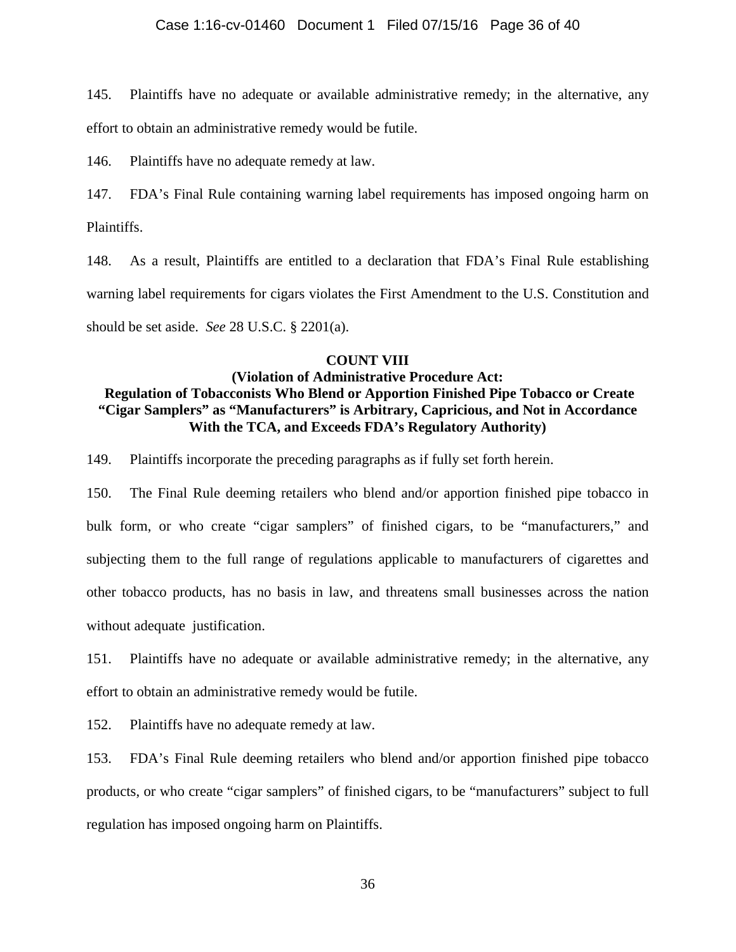### Case 1:16-cv-01460 Document 1 Filed 07/15/16 Page 36 of 40

145. Plaintiffs have no adequate or available administrative remedy; in the alternative, any effort to obtain an administrative remedy would be futile.

146. Plaintiffs have no adequate remedy at law.

147. FDA's Final Rule containing warning label requirements has imposed ongoing harm on Plaintiffs.

148. As a result, Plaintiffs are entitled to a declaration that FDA's Final Rule establishing warning label requirements for cigars violates the First Amendment to the U.S. Constitution and should be set aside. *See* 28 U.S.C. § 2201(a).

### **COUNT VIII**

# **(Violation of Administrative Procedure Act: Regulation of Tobacconists Who Blend or Apportion Finished Pipe Tobacco or Create "Cigar Samplers" as "Manufacturers" is Arbitrary, Capricious, and Not in Accordance With the TCA, and Exceeds FDA's Regulatory Authority)**

149. Plaintiffs incorporate the preceding paragraphs as if fully set forth herein.

150. The Final Rule deeming retailers who blend and/or apportion finished pipe tobacco in bulk form, or who create "cigar samplers" of finished cigars, to be "manufacturers," and subjecting them to the full range of regulations applicable to manufacturers of cigarettes and other tobacco products, has no basis in law, and threatens small businesses across the nation without adequate justification.

151. Plaintiffs have no adequate or available administrative remedy; in the alternative, any effort to obtain an administrative remedy would be futile.

152. Plaintiffs have no adequate remedy at law.

153. FDA's Final Rule deeming retailers who blend and/or apportion finished pipe tobacco products, or who create "cigar samplers" of finished cigars, to be "manufacturers" subject to full regulation has imposed ongoing harm on Plaintiffs.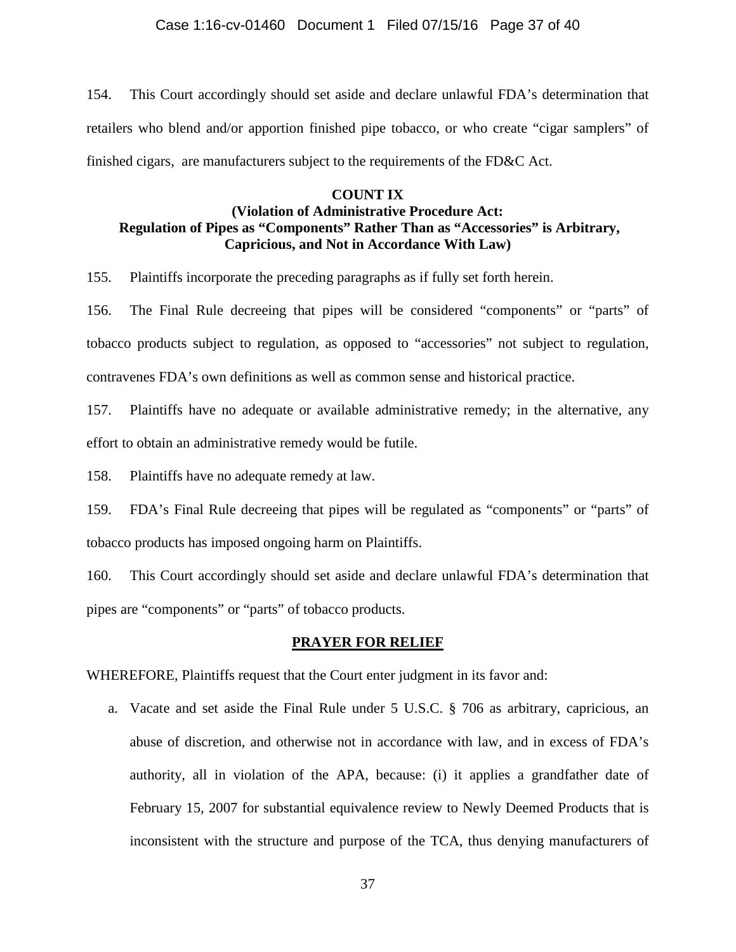154. This Court accordingly should set aside and declare unlawful FDA's determination that retailers who blend and/or apportion finished pipe tobacco, or who create "cigar samplers" of finished cigars, are manufacturers subject to the requirements of the FD&C Act.

# **COUNT IX (Violation of Administrative Procedure Act: Regulation of Pipes as "Components" Rather Than as "Accessories" is Arbitrary, Capricious, and Not in Accordance With Law)**

155. Plaintiffs incorporate the preceding paragraphs as if fully set forth herein.

156. The Final Rule decreeing that pipes will be considered "components" or "parts" of tobacco products subject to regulation, as opposed to "accessories" not subject to regulation, contravenes FDA's own definitions as well as common sense and historical practice.

157. Plaintiffs have no adequate or available administrative remedy; in the alternative, any effort to obtain an administrative remedy would be futile.

158. Plaintiffs have no adequate remedy at law.

159. FDA's Final Rule decreeing that pipes will be regulated as "components" or "parts" of tobacco products has imposed ongoing harm on Plaintiffs.

160. This Court accordingly should set aside and declare unlawful FDA's determination that pipes are "components" or "parts" of tobacco products.

### **PRAYER FOR RELIEF**

WHEREFORE, Plaintiffs request that the Court enter judgment in its favor and:

a. Vacate and set aside the Final Rule under 5 U.S.C. § 706 as arbitrary, capricious, an abuse of discretion, and otherwise not in accordance with law, and in excess of FDA's authority, all in violation of the APA, because: (i) it applies a grandfather date of February 15, 2007 for substantial equivalence review to Newly Deemed Products that is inconsistent with the structure and purpose of the TCA, thus denying manufacturers of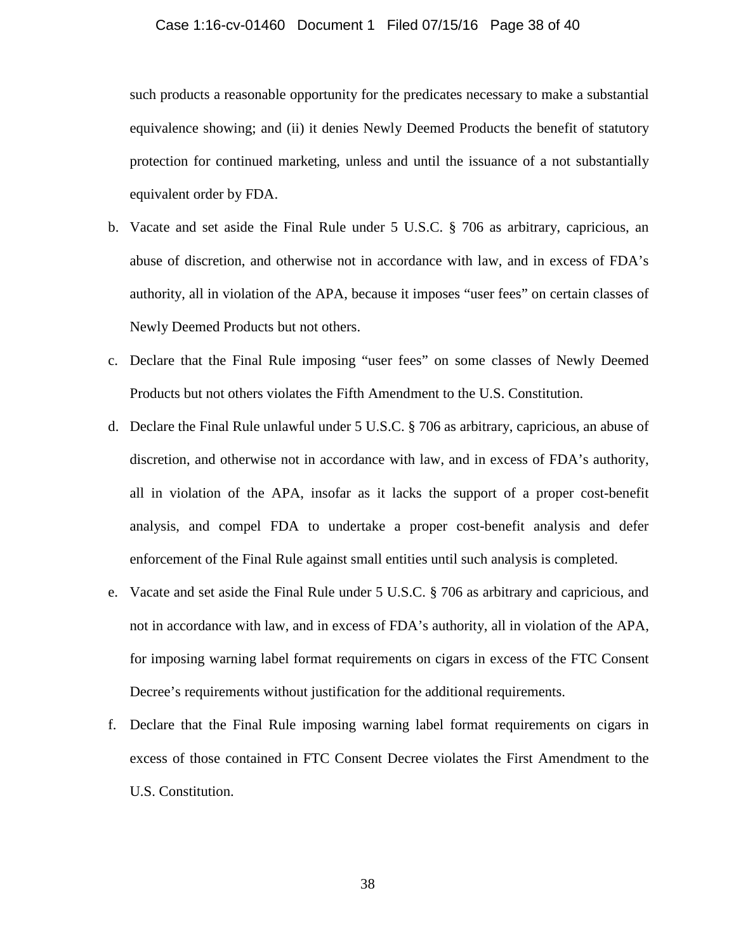### Case 1:16-cv-01460 Document 1 Filed 07/15/16 Page 38 of 40

such products a reasonable opportunity for the predicates necessary to make a substantial equivalence showing; and (ii) it denies Newly Deemed Products the benefit of statutory protection for continued marketing, unless and until the issuance of a not substantially equivalent order by FDA.

- b. Vacate and set aside the Final Rule under 5 U.S.C. § 706 as arbitrary, capricious, an abuse of discretion, and otherwise not in accordance with law, and in excess of FDA's authority, all in violation of the APA, because it imposes "user fees" on certain classes of Newly Deemed Products but not others.
- c. Declare that the Final Rule imposing "user fees" on some classes of Newly Deemed Products but not others violates the Fifth Amendment to the U.S. Constitution.
- d. Declare the Final Rule unlawful under 5 U.S.C. § 706 as arbitrary, capricious, an abuse of discretion, and otherwise not in accordance with law, and in excess of FDA's authority, all in violation of the APA, insofar as it lacks the support of a proper cost-benefit analysis, and compel FDA to undertake a proper cost-benefit analysis and defer enforcement of the Final Rule against small entities until such analysis is completed.
- e. Vacate and set aside the Final Rule under 5 U.S.C. § 706 as arbitrary and capricious, and not in accordance with law, and in excess of FDA's authority, all in violation of the APA, for imposing warning label format requirements on cigars in excess of the FTC Consent Decree's requirements without justification for the additional requirements.
- f. Declare that the Final Rule imposing warning label format requirements on cigars in excess of those contained in FTC Consent Decree violates the First Amendment to the U.S. Constitution.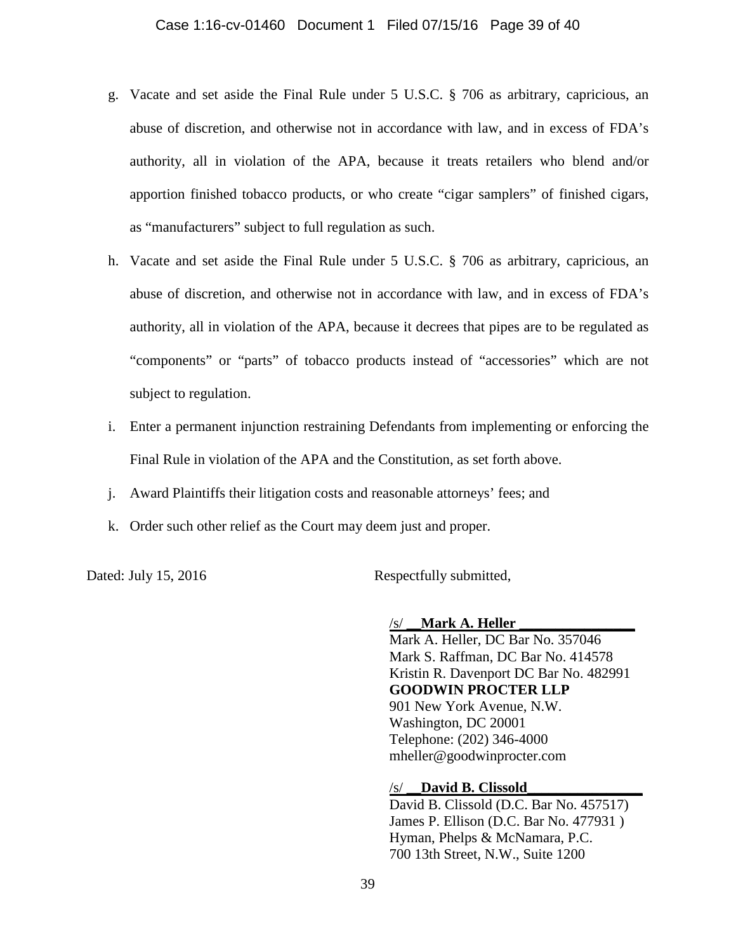- g. Vacate and set aside the Final Rule under 5 U.S.C. § 706 as arbitrary, capricious, an abuse of discretion, and otherwise not in accordance with law, and in excess of FDA's authority, all in violation of the APA, because it treats retailers who blend and/or apportion finished tobacco products, or who create "cigar samplers" of finished cigars, as "manufacturers" subject to full regulation as such.
- h. Vacate and set aside the Final Rule under 5 U.S.C. § 706 as arbitrary, capricious, an abuse of discretion, and otherwise not in accordance with law, and in excess of FDA's authority, all in violation of the APA, because it decrees that pipes are to be regulated as "components" or "parts" of tobacco products instead of "accessories" which are not subject to regulation.
- i. Enter a permanent injunction restraining Defendants from implementing or enforcing the Final Rule in violation of the APA and the Constitution, as set forth above.
- j. Award Plaintiffs their litigation costs and reasonable attorneys' fees; and
- k. Order such other relief as the Court may deem just and proper.

Dated: July 15, 2016 Respectfully submitted,

/s/ **\_\_Mark A. Heller \_\_\_\_\_\_\_\_\_\_\_\_\_\_\_\_**

Mark A. Heller, DC Bar No. 357046 Mark S. Raffman, DC Bar No. 414578 Kristin R. Davenport DC Bar No. 482991 **GOODWIN PROCTER LLP** 901 New York Avenue, N.W. Washington, DC 20001 Telephone: (202) 346-4000 mheller@goodwinprocter.com

/s/ **\_\_David B. Clissold\_\_\_\_\_\_\_\_\_\_\_\_\_\_\_\_**

David B. Clissold (D.C. Bar No. 457517) James P. Ellison (D.C. Bar No. 477931 ) Hyman, Phelps & McNamara, P.C. 700 13th Street, N.W., Suite 1200